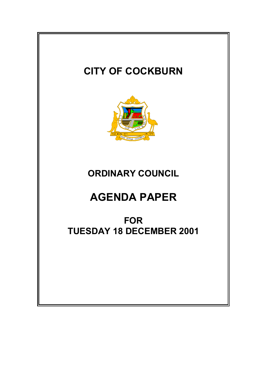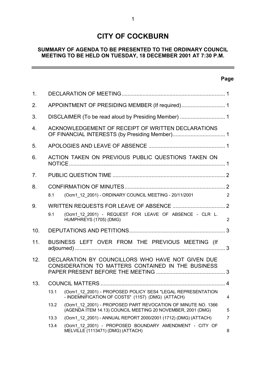# **CITY OF COCKBURN**

## **SUMMARY OF AGENDA TO BE PRESENTED TO THE ORDINARY COUNCIL MEETING TO BE HELD ON TUESDAY, 18 DECEMBER 2001 AT 7:30 P.M.**

## **Page**

 $\overline{\phantom{0}}$ 

| 1.  |                                                    |                                                                                                                             |                |
|-----|----------------------------------------------------|-----------------------------------------------------------------------------------------------------------------------------|----------------|
| 2.  | APPOINTMENT OF PRESIDING MEMBER (If required) 1    |                                                                                                                             |                |
| 3.  |                                                    |                                                                                                                             |                |
| 4.  | ACKNOWLEDGEMENT OF RECEIPT OF WRITTEN DECLARATIONS |                                                                                                                             |                |
| 5.  |                                                    |                                                                                                                             |                |
| 6.  | ACTION TAKEN ON PREVIOUS PUBLIC QUESTIONS TAKEN ON |                                                                                                                             |                |
| 7.  |                                                    |                                                                                                                             |                |
| 8.  |                                                    |                                                                                                                             |                |
|     | 8.1                                                | (Ocm1_12_2001) - ORDINARY COUNCIL MEETING - 20/11/2001                                                                      | 2              |
| 9.  |                                                    |                                                                                                                             |                |
|     | 9.1                                                | (Ocm1 12 2001) - REQUEST FOR LEAVE OF ABSENCE - CLR L.<br>HUMPHREYS (1705) (DMG)                                            | $\overline{2}$ |
| 10. |                                                    |                                                                                                                             |                |
| 11. |                                                    | BUSINESS LEFT OVER FROM THE PREVIOUS MEETING (If                                                                            |                |
| 12. |                                                    | DECLARATION BY COUNCILLORS WHO HAVE NOT GIVEN DUE<br>CONSIDERATION TO MATTERS CONTAINED IN THE BUSINESS                     |                |
| 13. |                                                    |                                                                                                                             |                |
|     | 13.1                                               | (Ocm1 12 2001) - PROPOSED POLICY SES4 "LEGAL REPRESENTATION<br>- INDEMNIFICATION OF COSTS" (1157) (DMG) (ATTACH)            | 4              |
|     | 13.2                                               | (Ocm1 12 2001) - PROPOSED PART REVOCATION OF MINUTE NO. 1366<br>(AGENDA ITEM 14.13) COUNCIL MEETING 20 NOVEMBER, 2001 (DMG) | 5              |
|     | 13.3                                               | (Ocm1 12 2001) - ANNUAL REPORT 2000/2001 (1712) (DMG) (ATTACH)                                                              | $\overline{7}$ |
|     | 13.4                                               | (Ocm1 12 2001) - PROPOSED BOUNDARY AMENDMENT - CITY OF<br>MELVILLE (1113471) (DMG) (ATTACH)                                 | 8              |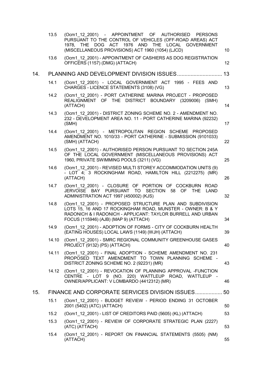|     | 13.5  | (Ocm1 12 2001) - APPOINTMENT OF AUTHORISED PERSONS<br>PURSUANT TO THE CONTROL OF VEHICLES (OFF-ROAD AREAS) ACT<br>1978, THE DOG ACT 1976 AND THE LOCAL GOVERNMENT                                                              |    |
|-----|-------|--------------------------------------------------------------------------------------------------------------------------------------------------------------------------------------------------------------------------------|----|
|     | 13.6  | (MISCELLANEOUS PROVISIONS) ACT 1960 (1054) (LJCD)<br>(Ocm1 12 2001) - APPOINTMENT OF CASHIERS AS DOG REGISTRATION                                                                                                              | 10 |
|     |       | OFFICERS (1157) (DMG) (ATTACH)                                                                                                                                                                                                 | 12 |
| 14. |       |                                                                                                                                                                                                                                | 13 |
|     | 14.1  | (Ocm1 12 2001) - LOCAL GOVERNMENT ACT 1995 - FEES AND<br>CHARGES - LICENCE STATEMENTS (3108) (VG)                                                                                                                              | 13 |
|     | 14.2  | (Ocm1 12 2001) - PORT CATHERINE MARINA PROJECT - PROPOSED<br>REALIGNMENT OF THE DISTRICT BOUNDARY (3209006) (SMH)<br>(ATTACH)                                                                                                  | 14 |
|     | 14.3  | (Ocm1 12 2001) - DISTRICT ZONING SCHEME NO. 2 - AMENDMENT NO.<br>232 - DEVELOPMENT AREA NO. 11 - PORT CATHERINE MARINA (92232)<br>(SMH)                                                                                        | 17 |
|     | 14.4  | (Ocm1 12 2001) - METROPOLITAN REGION SCHEME PROPOSED<br>AMENDMENT NO. 1010/33 - PORT CATHERINE - SUBMISSION (9101033)<br>(SMH) (ATTACH)                                                                                        | 22 |
|     | 14.5  | (Ocm1 12 2001) - AUTHORISED PERSON PURSUANT TO SECTION 245A<br>OF THE LOCAL GOVERNMENT (MISCELLANEOUS PROVISIONS) ACT<br>1960, PRIVATE SWIMMING POOLS (3211) (VG)                                                              | 25 |
|     | 14.6  | (Ocm1 12 2001) - REVISED MULTI STOREY ACCOMMODATION UNITS (9)<br>- LOT 4; 3 ROCKINGHAM ROAD, HAMILTON HILL (2212275) (MR)<br>(ATTACH)                                                                                          | 26 |
|     | 14.7  | (Ocm1 12 2001) - CLOSURE OF PORTION OF COCKBURN ROAD<br>JERVOISE BAY PURSUANT TO SECTION<br>58 OF THE<br><b>LAND</b><br>ADMINISTRATION ACT 1997 (450002) (KJS)                                                                 | 32 |
|     | 14.8  | (Ocm1 12 2001) - PROPOSED STRUCTURE PLAN AND SUBDIVISION<br>LOTS 15, 16 AND 17 ROCKINGHAM ROAD, MUNSTER - OWNER: B & Y<br>RADONICH & I RADONICH - APPLICANT: TAYLOR BURRELL AND URBAN<br>FOCUS (115946) (AJB) (MAP 9) (ATTACH) | 34 |
|     | 14.9  | (Ocm1 12 2001) - ADOPTION OF FORMS - CITY OF COCKBURN HEALTH<br>(EATING HOUSES) LOCAL LAWS (1149) (WJH) (ATTACH)                                                                                                               | 39 |
|     |       | 14.10 (Ocm1 12 2001) - SMRC REGIONAL COMMUNITY GREENHOUSE GASES<br>PROJECT (9132) (PS) (ATTACH)                                                                                                                                | 40 |
|     | 14.11 | (Ocm1 12 2001) - FINAL ADOPTION - SCHEME AMENDMENT NO. 231<br>PROPOSED TEXT AMENDMENT TO TOWN PLANNING SCHEME -<br>DISTRICT ZONING SCHEME NO. 2 (92231) (MR)                                                                   | 43 |
|     |       | 14.12 (Ocm1 12 2001) - REVOCATION OF PLANNING APPROVAL -FUNCTION<br>CENTRE - LOT 9 (NO. 220) WATTLEUP ROAD, WATTLEUP -<br>OWNER/APPLICANT: V LOMBARDO (4412312) (MR)                                                           | 46 |
| 15. |       | FINANCE AND CORPORATE SERVICES DIVISION ISSUES 50                                                                                                                                                                              |    |
|     | 15.1  | (Ocm1 12 2001) - BUDGET REVIEW - PERIOD ENDING 31 OCTOBER<br>2001 (5402) (ATC) (ATTACH)                                                                                                                                        | 50 |
|     | 15.2  | (Ocm1 12 2001) - LIST OF CREDITORS PAID (5605) (KL) (ATTACH)                                                                                                                                                                   | 53 |
|     | 15.3  | (Ocm1 12 2001) - REVIEW OF CORPORATE STRATEGIC PLAN (2227)<br>(ATC) (ATTACH)                                                                                                                                                   | 53 |
|     | 15.4  | (Ocm1 12 2001) - REPORT ON FINANCIAL STATEMENTS (5505) (NM)<br>(ATTACH)                                                                                                                                                        | 55 |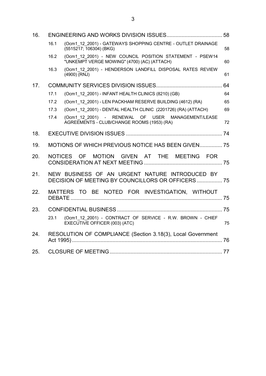| 16. |      |                                                                                                         |    |
|-----|------|---------------------------------------------------------------------------------------------------------|----|
|     | 16.1 | (Ocm1 12 2001) - GATEWAYS SHOPPING CENTRE - OUTLET DRAINAGE<br>(5515217; 106304) (BKG)                  | 58 |
|     | 16.2 | (Ocm1_12_2001) - NEW COUNCIL POSITION STATEMENT - PSEW14<br>"UNKEMPT VERGE MOWING" (4700) (AC) (ATTACH) | 60 |
|     | 16.3 | (Ocm1 12 2001) - HENDERSON LANDFILL DISPOSAL RATES REVIEW<br>(4900) (RNJ)                               | 61 |
| 17. |      |                                                                                                         | 64 |
|     | 17.1 | (Ocm1 12 2001) - INFANT HEALTH CLINICS (8210) (GB)                                                      | 64 |
|     | 17.2 | (Ocm1 12 2001) - LEN PACKHAM RESERVE BUILDING (4612) (RA)                                               | 65 |
|     | 17.3 | (Ocm1 12 2001) - DENTAL HEALTH CLINIC (2201726) (RA) (ATTACH)                                           | 69 |
|     | 17.4 | (Ocm1 12 2001) - RENEWAL OF USER MANAGEMENT/LEASE<br>AGREEMENTS - CLUB/CHANGE ROOMS (1953) (RA)         | 72 |
| 18. |      |                                                                                                         |    |
| 19. |      | MOTIONS OF WHICH PREVIOUS NOTICE HAS BEEN GIVEN 75                                                      |    |
| 20. |      | NOTICES OF<br>MOTION GIVEN AT THE MEETING FOR                                                           |    |
| 21. |      | NEW BUSINESS OF AN URGENT NATURE INTRODUCED BY<br>DECISION OF MEETING BY COUNCILLORS OR OFFICERS 75     |    |
| 22. |      | MATTERS TO BE NOTED FOR INVESTIGATION, WITHOUT                                                          |    |
| 23. |      |                                                                                                         |    |
|     | 23.1 | (Ocm1_12_2001) - CONTRACT OF SERVICE - R.W. BROWN - CHIEF<br>EXECUTIVE OFFICER (003) (ATC)              | 75 |
| 24. |      | RESOLUTION OF COMPLIANCE (Section 3.18(3), Local Government                                             |    |
| 25. |      |                                                                                                         |    |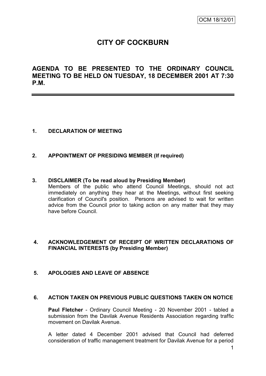# **CITY OF COCKBURN**

**AGENDA TO BE PRESENTED TO THE ORDINARY COUNCIL MEETING TO BE HELD ON TUESDAY, 18 DECEMBER 2001 AT 7:30 P.M.**

## **1. DECLARATION OF MEETING**

### **2. APPOINTMENT OF PRESIDING MEMBER (If required)**

#### **3. DISCLAIMER (To be read aloud by Presiding Member)**

Members of the public who attend Council Meetings, should not act immediately on anything they hear at the Meetings, without first seeking clarification of Council's position. Persons are advised to wait for written advice from the Council prior to taking action on any matter that they may have before Council.

#### **4. ACKNOWLEDGEMENT OF RECEIPT OF WRITTEN DECLARATIONS OF FINANCIAL INTERESTS (by Presiding Member)**

### **5. APOLOGIES AND LEAVE OF ABSENCE**

#### **6. ACTION TAKEN ON PREVIOUS PUBLIC QUESTIONS TAKEN ON NOTICE**

**Paul Fletcher** - Ordinary Council Meeting - 20 November 2001 - tabled a submission from the Davilak Avenue Residents Association regarding traffic movement on Davilak Avenue.

A letter dated 4 December 2001 advised that Council had deferred consideration of traffic management treatment for Davilak Avenue for a period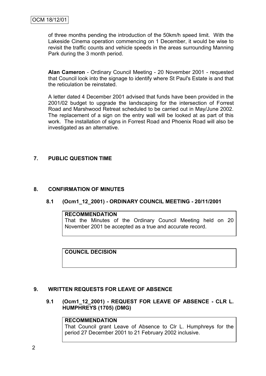of three months pending the introduction of the 50km/h speed limit. With the Lakeside Cinema operation commencing on 1 December, it would be wise to revisit the traffic counts and vehicle speeds in the areas surrounding Manning Park during the 3 month period.

**Alan Cameron** - Ordinary Council Meeting - 20 November 2001 - requested that Council look into the signage to identify where St Paul's Estate is and that the reticulation be reinstated.

A letter dated 4 December 2001 advised that funds have been provided in the 2001/02 budget to upgrade the landscaping for the intersection of Forrest Road and Marshwood Retreat scheduled to be carried out in May/June 2002. The replacement of a sign on the entry wall will be looked at as part of this work. The installation of signs in Forrest Road and Phoenix Road will also be investigated as an alternative.

## **7. PUBLIC QUESTION TIME**

## **8. CONFIRMATION OF MINUTES**

### **8.1 (Ocm1\_12\_2001) - ORDINARY COUNCIL MEETING - 20/11/2001**

#### **RECOMMENDATION**

That the Minutes of the Ordinary Council Meeting held on 20 November 2001 be accepted as a true and accurate record.

**COUNCIL DECISION**

### **9. WRITTEN REQUESTS FOR LEAVE OF ABSENCE**

## **9.1 (Ocm1\_12\_2001) - REQUEST FOR LEAVE OF ABSENCE - CLR L. HUMPHREYS (1705) (DMG)**

## **RECOMMENDATION**

That Council grant Leave of Absence to Clr L. Humphreys for the period 27 December 2001 to 21 February 2002 inclusive.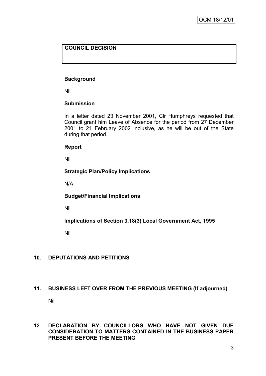## **COUNCIL DECISION**

## **Background**

Nil

## **Submission**

In a letter dated 23 November 2001, Clr Humphreys requested that Council grant him Leave of Absence for the period from 27 December 2001 to 21 February 2002 inclusive, as he will be out of the State during that period.

### **Report**

Nil

## **Strategic Plan/Policy Implications**

N/A

### **Budget/Financial Implications**

Nil

**Implications of Section 3.18(3) Local Government Act, 1995**

Nil

## **10. DEPUTATIONS AND PETITIONS**

### **11. BUSINESS LEFT OVER FROM THE PREVIOUS MEETING (If adjourned)**

Nil

### **12. DECLARATION BY COUNCILLORS WHO HAVE NOT GIVEN DUE CONSIDERATION TO MATTERS CONTAINED IN THE BUSINESS PAPER PRESENT BEFORE THE MEETING**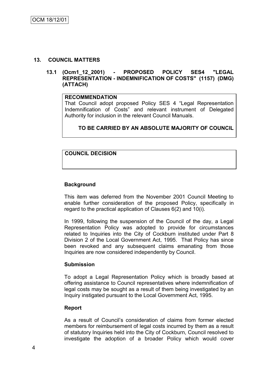#### **13. COUNCIL MATTERS**

### **13.1 (Ocm1\_12\_2001) - PROPOSED POLICY SES4 "LEGAL REPRESENTATION - INDEMNIFICATION OF COSTS" (1157) (DMG) (ATTACH)**

#### **RECOMMENDATION**

That Council adopt proposed Policy SES 4 "Legal Representation Indemnification of Costs" and relevant instrument of Delegated Authority for inclusion in the relevant Council Manuals.

## **TO BE CARRIED BY AN ABSOLUTE MAJORITY OF COUNCIL**

## **COUNCIL DECISION**

#### **Background**

This item was deferred from the November 2001 Council Meeting to enable further consideration of the proposed Policy, specifically in regard to the practical application of Clauses 6(2) and 10(i).

In 1999, following the suspension of the Council of the day, a Legal Representation Policy was adopted to provide for circumstances related to Inquiries into the City of Cockburn instituted under Part 8 Division 2 of the Local Government Act, 1995. That Policy has since been revoked and any subsequent claims emanating from those Inquiries are now considered independently by Council.

#### **Submission**

To adopt a Legal Representation Policy which is broadly based at offering assistance to Council representatives where indemnification of legal costs may be sought as a result of them being investigated by an Inquiry instigated pursuant to the Local Government Act, 1995.

#### **Report**

As a result of Council"s consideration of claims from former elected members for reimbursement of legal costs incurred by them as a result of statutory Inquiries held into the City of Cockburn, Council resolved to investigate the adoption of a broader Policy which would cover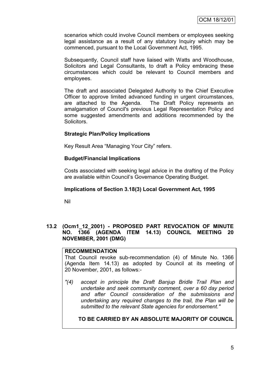scenarios which could involve Council members or employees seeking legal assistance as a result of any statutory Inquiry which may be commenced, pursuant to the Local Government Act, 1995.

Subsequently, Council staff have liaised with Watts and Woodhouse, Solicitors and Legal Consultants, to draft a Policy embracing these circumstances which could be relevant to Council members and employees.

The draft and associated Delegated Authority to the Chief Executive Officer to approve limited advanced funding in urgent circumstances, are attached to the Agenda. The Draft Policy represents an amalgamation of Council's previous Legal Representation Policy and some suggested amendments and additions recommended by the Solicitors.

### **Strategic Plan/Policy Implications**

Key Result Area "Managing Your City" refers.

#### **Budget/Financial Implications**

Costs associated with seeking legal advice in the drafting of the Policy are available within Council"s Governance Operating Budget.

#### **Implications of Section 3.18(3) Local Government Act, 1995**

Nil

### **13.2 (Ocm1\_12\_2001) - PROPOSED PART REVOCATION OF MINUTE NO. 1366 (AGENDA ITEM 14.13) COUNCIL MEETING 20 NOVEMBER, 2001 (DMG)**

#### **RECOMMENDATION**

That Council revoke sub-recommendation (4) of Minute No. 1366 (Agenda Item 14.13) as adopted by Council at its meeting of 20 November, 2001, as follows:-

*"(4) accept in principle the Draft Banjup Bridle Trail Plan and undertake and seek community comment, over a 60 day period and after Council consideration of the submissions and undertaking any required changes to the trail, the Plan will be submitted to the relevant State agencies for endorsement."*

### **TO BE CARRIED BY AN ABSOLUTE MAJORITY OF COUNCIL**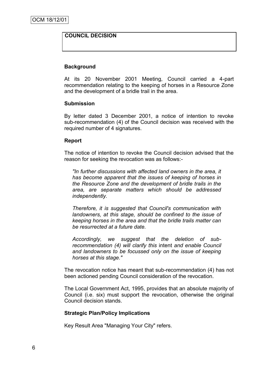### **COUNCIL DECISION**

#### **Background**

At its 20 November 2001 Meeting, Council carried a 4-part recommendation relating to the keeping of horses in a Resource Zone and the development of a bridle trail in the area.

#### **Submission**

By letter dated 3 December 2001, a notice of intention to revoke sub-recommendation (4) of the Council decision was received with the required number of 4 signatures.

#### **Report**

The notice of intention to revoke the Council decision advised that the reason for seeking the revocation was as follows:-

*"In further discussions with affected land owners in the area, it has become apparent that the issues of keeping of horses in the Resource Zone and the development of bridle trails in the area, are separate matters which should be addressed independently.*

*Therefore, it is suggested that Council's communication with landowners, at this stage, should be confined to the issue of keeping horses in the area and that the bridle trails matter can be resurrected at a future date.*

*Accordingly, we suggest that the deletion of subrecommendation (4) will clarify this* intent *and enable Council and landowners to be focussed only on the issue of keeping horses at this stage."*

The revocation notice has meant that sub-recommendation (4) has not been actioned pending Council consideration of the revocation.

The Local Government Act, 1995, provides that an absolute majority of Council (i.e. six) must support the revocation, otherwise the original Council decision stands.

### **Strategic Plan/Policy Implications**

Key Result Area "Managing Your City" refers.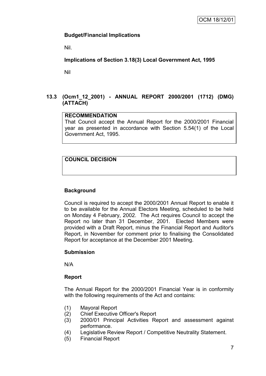## **Budget/Financial Implications**

Nil.

## **Implications of Section 3.18(3) Local Government Act, 1995**

Nil

## **13.3 (Ocm1\_12\_2001) - ANNUAL REPORT 2000/2001 (1712) (DMG) (ATTACH)**

## **RECOMMENDATION**

That Council accept the Annual Report for the 2000/2001 Financial year as presented in accordance with Section 5.54(1) of the Local Government Act, 1995.

## **COUNCIL DECISION**

## **Background**

Council is required to accept the 2000/2001 Annual Report to enable it to be available for the Annual Electors Meeting, scheduled to be held on Monday 4 February, 2002. The Act requires Council to accept the Report no later than 31 December, 2001. Elected Members were provided with a Draft Report, minus the Financial Report and Auditor's Report, in November for comment prior to finalising the Consolidated Report for acceptance at the December 2001 Meeting.

### **Submission**

N/A

### **Report**

The Annual Report for the 2000/2001 Financial Year is in conformity with the following requirements of the Act and contains:

- (1) Mayoral Report
- (2) Chief Executive Officer's Report
- (3) 2000/01 Principal Activities Report and assessment against performance.
- (4) Legislative Review Report / Competitive Neutrality Statement.
- (5) Financial Report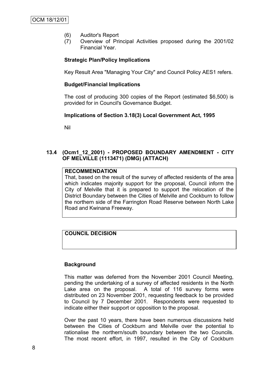- (6) Auditor's Report
- (7) Overview of Principal Activities proposed during the 2001/02 Financial Year.

## **Strategic Plan/Policy Implications**

Key Result Area "Managing Your City" and Council Policy AES1 refers.

#### **Budget/Financial Implications**

The cost of producing 300 copies of the Report (estimated \$6,500) is provided for in Council's Governance Budget.

#### **Implications of Section 3.18(3) Local Government Act, 1995**

Nil

## **13.4 (Ocm1\_12\_2001) - PROPOSED BOUNDARY AMENDMENT - CITY OF MELVILLE (1113471) (DMG) (ATTACH)**

#### **RECOMMENDATION**

That, based on the result of the survey of affected residents of the area which indicates majority support for the proposal, Council inform the City of Melville that it is prepared to support the relocation of the District Boundary between the Cities of Melville and Cockburn to follow the northern side of the Farrington Road Reserve between North Lake Road and Kwinana Freeway.

## **COUNCIL DECISION**

### **Background**

This matter was deferred from the November 2001 Council Meeting, pending the undertaking of a survey of affected residents in the North Lake area on the proposal. A total of 116 survey forms were distributed on 23 November 2001, requesting feedback to be provided to Council by 7 December 2001. Respondents were requested to indicate either their support or opposition to the proposal.

Over the past 10 years, there have been numerous discussions held between the Cities of Cockburn and Melville over the potential to rationalise the northern/south boundary between the two Councils. The most recent effort, in 1997, resulted in the City of Cockburn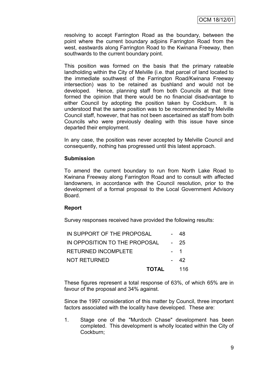resolving to accept Farrington Road as the boundary, between the point where the current boundary adjoins Farrington Road from the west, eastwards along Farrington Road to the Kwinana Freeway, then southwards to the current boundary point.

This position was formed on the basis that the primary rateable landholding within the City of Melville (i.e. that parcel of land located to the immediate southwest of the Farrington Road/Kwinana Freeway intersection) was to be retained as bushland and would not be developed. Hence, planning staff from both Councils at that time formed the opinion that there would be no financial disadvantage to either Council by adopting the position taken by Cockburn. It is understood that the same position was to be recommended by Melville Council staff, however, that has not been ascertained as staff from both Councils who were previously dealing with this issue have since departed their employment.

In any case, the position was never accepted by Melville Council and consequently, nothing has progressed until this latest approach.

#### **Submission**

To amend the current boundary to run from North Lake Road to Kwinana Freeway along Farrington Road and to consult with affected landowners, in accordance with the Council resolution, prior to the development of a formal proposal to the Local Government Advisory Board.

### **Report**

Survey responses received have provided the following results:

| <b>TOTAL</b>                  | 116  |
|-------------------------------|------|
| <b>NOT RETURNED</b>           | - 42 |
| <b>RETURNED INCOMPLETE</b>    | - 1  |
| IN OPPOSITION TO THE PROPOSAL | - 25 |
| IN SUPPORT OF THE PROPOSAL    | 48   |

These figures represent a total response of 63%, of which 65% are in favour of the proposal and 34% against.

Since the 1997 consideration of this matter by Council, three important factors associated with the locality have developed. These are:

1. Stage one of the "Murdoch Chase" development has been completed. This development is wholly located within the City of Cockburn;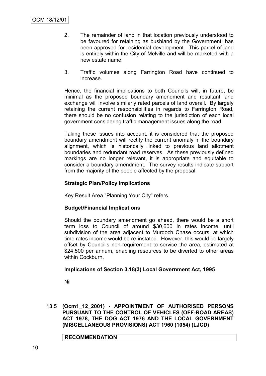- 2. The remainder of land in that location previously understood to be favoured for retaining as bushland by the Government, has been approved for residential development. This parcel of land is entirely within the City of Melville and will be marketed with a new estate name;
- 3. Traffic volumes along Farrington Road have continued to increase.

Hence, the financial implications to both Councils will, in future, be minimal as the proposed boundary amendment and resultant land exchange will involve similarly rated parcels of land overall. By largely retaining the current responsibilities in regards to Farrington Road, there should be no confusion relating to the jurisdiction of each local government considering traffic management issues along the road.

Taking these issues into account, it is considered that the proposed boundary amendment will rectify the current anomaly in the boundary alignment, which is historically linked to previous land allotment boundaries and redundant road reserves. As these previously defined markings are no longer relevant, it is appropriate and equitable to consider a boundary amendment. The survey results indicate support from the majority of the people affected by the proposal.

## **Strategic Plan/Policy Implications**

Key Result Area "Planning Your City" refers.

### **Budget/Financial Implications**

Should the boundary amendment go ahead, there would be a short term loss to Council of around \$30,600 in rates income, until subdivision of the area adjacent to Murdoch Chase occurs, at which time rates income would be re-instated. However, this would be largely offset by Council's non-requirement to service the area, estimated at \$24,500 per annum, enabling resources to be diverted to other areas within Cockburn.

### **Implications of Section 3.18(3) Local Government Act, 1995**

Nil

**13.5 (Ocm1\_12\_2001) - APPOINTMENT OF AUTHORISED PERSONS PURSUANT TO THE CONTROL OF VEHICLES (OFF-ROAD AREAS) ACT 1978, THE DOG ACT 1976 AND THE LOCAL GOVERNMENT (MISCELLANEOUS PROVISIONS) ACT 1960 (1054) (LJCD)**

**RECOMMENDATION**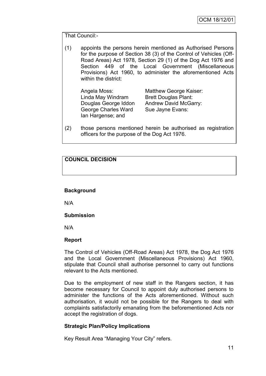That Council:-

(1) appoints the persons herein mentioned as Authorised Persons for the purpose of Section 38 (3) of the Control of Vehicles (Off-Road Areas) Act 1978, Section 29 (1) of the Dog Act 1976 and Section 449 of the Local Government (Miscellaneous Provisions) Act 1960, to administer the aforementioned Acts within the district:

Angela Moss: Matthew George Kaiser: Linda May Windram Brett Douglas Plant: George Charles Ward Sue Jayne Evans: Ian Hargense; and

Douglas George Iddon Andrew David McGarry:

(2) those persons mentioned herein be authorised as registration officers for the purpose of the Dog Act 1976.

## **COUNCIL DECISION**

### **Background**

N/A

### **Submission**

N/A

#### **Report**

The Control of Vehicles (Off-Road Areas) Act 1978, the Dog Act 1976 and the Local Government (Miscellaneous Provisions) Act 1960, stipulate that Council shall authorise personnel to carry out functions relevant to the Acts mentioned.

Due to the employment of new staff in the Rangers section, it has become necessary for Council to appoint duly authorised persons to administer the functions of the Acts aforementioned. Without such authorisation, it would not be possible for the Rangers to deal with complaints satisfactorily emanating from the beforementioned Acts nor accept the registration of dogs.

### **Strategic Plan/Policy Implications**

Key Result Area "Managing Your City" refers.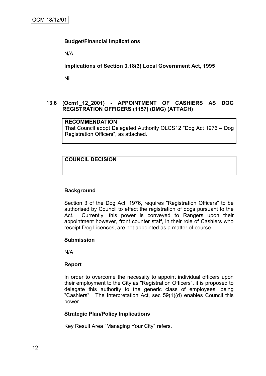### **Budget/Financial Implications**

N/A

**Implications of Section 3.18(3) Local Government Act, 1995**

Nil

## **13.6 (Ocm1\_12\_2001) - APPOINTMENT OF CASHIERS AS DOG REGISTRATION OFFICERS (1157) (DMG) (ATTACH)**

### **RECOMMENDATION**

That Council adopt Delegated Authority OLCS12 "Dog Act 1976 – Dog Registration Officers", as attached.

## **COUNCIL DECISION**

### **Background**

Section 3 of the Dog Act, 1976, requires "Registration Officers" to be authorised by Council to effect the registration of dogs pursuant to the Act. Currently, this power is conveyed to Rangers upon their appointment however, front counter staff, in their role of Cashiers who receipt Dog Licences, are not appointed as a matter of course.

#### **Submission**

N/A

#### **Report**

In order to overcome the necessity to appoint individual officers upon their employment to the City as "Registration Officers", it is proposed to delegate this authority to the generic class of employees, being "Cashiers". The Interpretation Act, sec 59(1)(d) enables Council this power.

### **Strategic Plan/Policy Implications**

Key Result Area "Managing Your City" refers.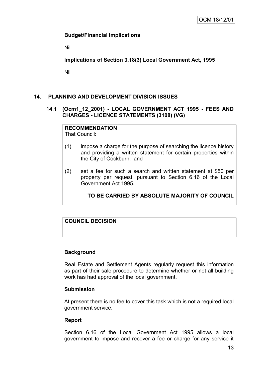## **Budget/Financial Implications**

Nil

**Implications of Section 3.18(3) Local Government Act, 1995**

Nil

## **14. PLANNING AND DEVELOPMENT DIVISION ISSUES**

#### **14.1 (Ocm1\_12\_2001) - LOCAL GOVERNMENT ACT 1995 - FEES AND CHARGES - LICENCE STATEMENTS (3108) (VG)**

## **RECOMMENDATION**

That Council:

- (1) impose a charge for the purpose of searching the licence history and providing a written statement for certain properties within the City of Cockburn; and
- (2) set a fee for such a search and written statement at \$50 per property per request, pursuant to Section 6.16 of the Local Government Act 1995.

**TO BE CARRIED BY ABSOLUTE MAJORITY OF COUNCIL**

## **COUNCIL DECISION**

### **Background**

Real Estate and Settlement Agents regularly request this information as part of their sale procedure to determine whether or not all building work has had approval of the local government.

### **Submission**

At present there is no fee to cover this task which is not a required local government service.

### **Report**

Section 6.16 of the Local Government Act 1995 allows a local government to impose and recover a fee or charge for any service it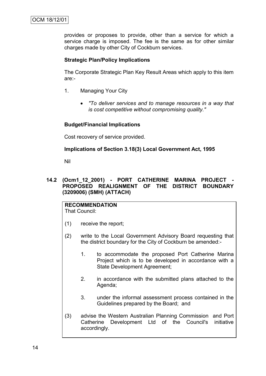provides or proposes to provide, other than a service for which a service charge is imposed. The fee is the same as for other similar charges made by other City of Cockburn services.

### **Strategic Plan/Policy Implications**

The Corporate Strategic Plan Key Result Areas which apply to this item are:-

- 1. Managing Your City
	- *"To deliver services and to manage resources in a way that is cost competitive without compromising quality."*

### **Budget/Financial Implications**

Cost recovery of service provided.

### **Implications of Section 3.18(3) Local Government Act, 1995**

Nil

## **14.2 (Ocm1\_12\_2001) - PORT CATHERINE MARINA PROJECT - PROPOSED REALIGNMENT OF THE DISTRICT BOUNDARY (3209006) (SMH) (ATTACH)**

**RECOMMENDATION** That Council:

- (1) receive the report;
- (2) write to the Local Government Advisory Board requesting that the district boundary for the City of Cockburn be amended:-
	- 1. to accommodate the proposed Port Catherine Marina Project which is to be developed in accordance with a State Development Agreement;
	- 2. in accordance with the submitted plans attached to the Agenda;
	- 3. under the informal assessment process contained in the Guidelines prepared by the Board; and
- (3) advise the Western Australian Planning Commission and Port Catherine Development Ltd of the Council's initiative accordingly.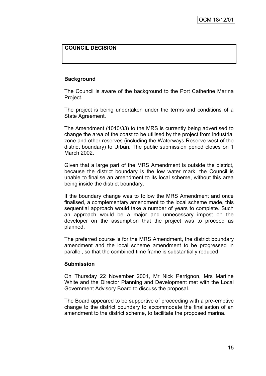## **COUNCIL DECISION**

### **Background**

The Council is aware of the background to the Port Catherine Marina Project.

The project is being undertaken under the terms and conditions of a State Agreement.

The Amendment (1010/33) to the MRS is currently being advertised to change the area of the coast to be utilised by the project from industrial zone and other reserves (including the Waterways Reserve west of the district boundary) to Urban. The public submission period closes on 1 March 2002.

Given that a large part of the MRS Amendment is outside the district, because the district boundary is the low water mark, the Council is unable to finalise an amendment to its local scheme, without this area being inside the district boundary.

If the boundary change was to follow the MRS Amendment and once finalised, a complementary amendment to the local scheme made, this sequential approach would take a number of years to complete. Such an approach would be a major and unnecessary impost on the developer on the assumption that the project was to proceed as planned.

The preferred course is for the MRS Amendment, the district boundary amendment and the local scheme amendment to be progressed in parallel, so that the combined time frame is substantially reduced.

### **Submission**

On Thursday 22 November 2001, Mr Nick Perrignon, Mrs Martine White and the Director Planning and Development met with the Local Government Advisory Board to discuss the proposal.

The Board appeared to be supportive of proceeding with a pre-emptive change to the district boundary to accommodate the finalisation of an amendment to the district scheme, to facilitate the proposed marina.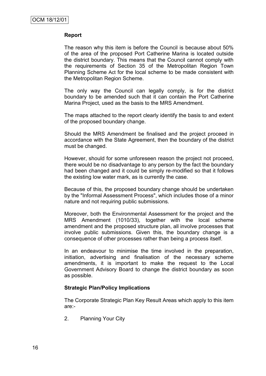### **Report**

The reason why this item is before the Council is because about 50% of the area of the proposed Port Catherine Marina is located outside the district boundary. This means that the Council cannot comply with the requirements of Section 35 of the Metropolitan Region Town Planning Scheme Act for the local scheme to be made consistent with the Metropolitan Region Scheme.

The only way the Council can legally comply, is for the district boundary to be amended such that it can contain the Port Catherine Marina Project, used as the basis to the MRS Amendment.

The maps attached to the report clearly identify the basis to and extent of the proposed boundary change.

Should the MRS Amendment be finalised and the project proceed in accordance with the State Agreement, then the boundary of the district must be changed.

However, should for some unforeseen reason the project not proceed, there would be no disadvantage to any person by the fact the boundary had been changed and it could be simply re-modified so that it follows the existing low water mark, as is currently the case.

Because of this, the proposed boundary change should be undertaken by the "Informal Assessment Process", which includes those of a minor nature and not requiring public submissions.

Moreover, both the Environmental Assessment for the project and the MRS Amendment (1010/33), together with the local scheme amendment and the proposed structure plan, all involve processes that involve public submissions. Given this, the boundary change is a consequence of other processes rather than being a process itself.

In an endeavour to minimise the time involved in the preparation, initiation, advertising and finalisation of the necessary scheme amendments, it is important to make the request to the Local Government Advisory Board to change the district boundary as soon as possible.

### **Strategic Plan/Policy Implications**

The Corporate Strategic Plan Key Result Areas which apply to this item are:-

2. Planning Your City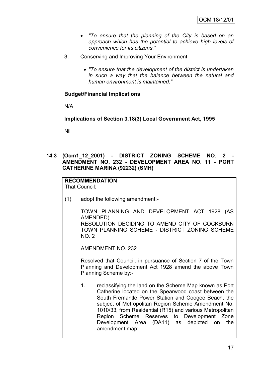- *"To ensure that the planning of the City is based on an approach which has the potential to achieve high levels of convenience for its citizens."*
- 3. Conserving and Improving Your Environment
	- *"To ensure that the development of the district is undertaken in such a way that the balance between the natural and human environment is maintained."*

## **Budget/Financial Implications**

N/A

**Implications of Section 3.18(3) Local Government Act, 1995**

Nil

**14.3 (Ocm1\_12\_2001) - DISTRICT ZONING SCHEME NO. 2 - AMENDMENT NO. 232 - DEVELOPMENT AREA NO. 11 - PORT CATHERINE MARINA (92232) (SMH)**

#### **RECOMMENDATION** That Council:

(1) adopt the following amendment:-

TOWN PLANNING AND DEVELOPMENT ACT 1928 (AS AMENDED) RESOLUTION DECIDING TO AMEND CITY OF COCKBURN TOWN PLANNING SCHEME - DISTRICT ZONING SCHEME NO. 2

AMENDMENT NO. 232

Resolved that Council, in pursuance of Section 7 of the Town Planning and Development Act 1928 amend the above Town Planning Scheme by:-

1. reclassifying the land on the Scheme Map known as Port Catherine located on the Spearwood coast between the South Fremantle Power Station and Coogee Beach, the subject of Metropolitan Region Scheme Amendment No. 1010/33, from Residential (R15) and various Metropolitan Region Scheme Reserves to Development Zone Development Area (DA11) as depicted on the amendment map;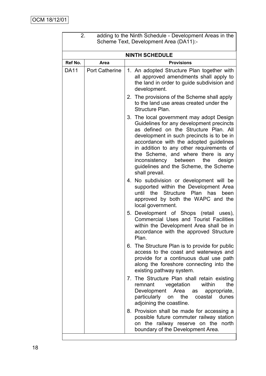| 2.          |                       | adding to the Ninth Schedule - Development Areas in the<br>Scheme Text, Development Area (DA11):-                                                                                                                                                                                                                                                                                                           |
|-------------|-----------------------|-------------------------------------------------------------------------------------------------------------------------------------------------------------------------------------------------------------------------------------------------------------------------------------------------------------------------------------------------------------------------------------------------------------|
|             |                       | <b>NINTH SCHEDULE</b>                                                                                                                                                                                                                                                                                                                                                                                       |
| Ref No.     | Area                  | <b>Provisions</b>                                                                                                                                                                                                                                                                                                                                                                                           |
| <b>DA11</b> | <b>Port Catherine</b> | 1. An adopted Structure Plan together with<br>all approved amendments shall apply to<br>the land in order to guide subdivision and<br>development.                                                                                                                                                                                                                                                          |
|             |                       | 2. The provisions of the Scheme shall apply<br>to the land use areas created under the<br>Structure Plan.                                                                                                                                                                                                                                                                                                   |
|             |                       | 3. The local government may adopt Design<br>Guidelines for any development precincts<br>as defined on the Structure Plan. All<br>development in such precincts is to be in<br>accordance with the adopted guidelines<br>in addition to any other requirements of<br>the Scheme, and where there is any<br>inconsistency between<br>design<br>the<br>guidelines and the Scheme, the Scheme<br>shall prevail. |
|             |                       | 4. No subdivision or development will be<br>supported within the Development Area<br>Structure Plan has<br>until<br>the<br>been<br>approved by both the WAPC and the<br>local government.                                                                                                                                                                                                                   |
|             |                       | 5. Development of Shops (retail uses),<br><b>Commercial Uses and Tourist Facilities</b><br>within the Development Area shall be in<br>accordance with the approved Structure<br>Plan.                                                                                                                                                                                                                       |
|             |                       | 6. The Structure Plan is to provide for public<br>access to the coast and waterways and<br>provide for a continuous dual use path<br>along the foreshore connecting into the<br>existing pathway system.                                                                                                                                                                                                    |
|             |                       | 7. The Structure Plan shall retain existing<br>the<br>remnant vegetation<br>within<br>Development Area<br>appropriate,<br>as<br>particularly on<br>the<br>coastal dunes<br>adjoining the coastline.                                                                                                                                                                                                         |
|             |                       | 8. Provision shall be made for accessing a<br>possible future commuter railway station<br>on the railway reserve on the north<br>boundary of the Development Area.                                                                                                                                                                                                                                          |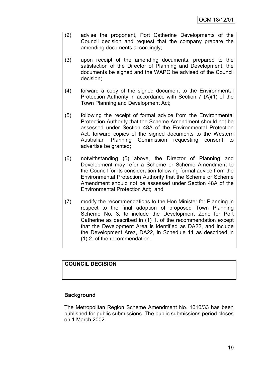- (2) advise the proponent, Port Catherine Developments of the Council decision and request that the company prepare the amending documents accordingly;
- (3) upon receipt of the amending documents, prepared to the satisfaction of the Director of Planning and Development, the documents be signed and the WAPC be advised of the Council decision;
- (4) forward a copy of the signed document to the Environmental Protection Authority in accordance with Section 7 (A)(1) of the Town Planning and Development Act;
- (5) following the receipt of formal advice from the Environmental Protection Authority that the Scheme Amendment should not be assessed under Section 48A of the Environmental Protection Act, forward copies of the signed documents to the Western Australian Planning Commission requesting consent to advertise be granted;
- (6) notwithstanding (5) above, the Director of Planning and Development may refer a Scheme or Scheme Amendment to the Council for its consideration following formal advice from the Environmental Protection Authority that the Scheme or Scheme Amendment should not be assessed under Section 48A of the Environmental Protection Act; and
- (7) modify the recommendations to the Hon Minister for Planning in respect to the final adoption of proposed Town Planning Scheme No. 3, to include the Development Zone for Port Catherine as described in (1) 1. of the recommendation except that the Development Area is identified as DA22, and include the Development Area, DA22, in Schedule 11 as described in (1) 2. of the recommendation.

## **COUNCIL DECISION**

## **Background**

The Metropolitan Region Scheme Amendment No. 1010/33 has been published for public submissions. The public submissions period closes on 1 March 2002.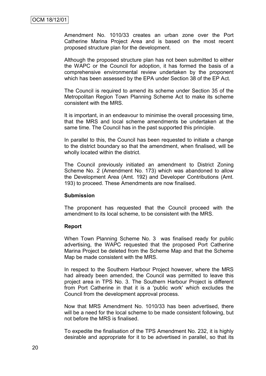Amendment No. 1010/33 creates an urban zone over the Port Catherine Marina Project Area and is based on the most recent proposed structure plan for the development.

Although the proposed structure plan has not been submitted to either the WAPC or the Council for adoption, it has formed the basis of a comprehensive environmental review undertaken by the proponent which has been assessed by the EPA under Section 38 of the EP Act.

The Council is required to amend its scheme under Section 35 of the Metropolitan Region Town Planning Scheme Act to make its scheme consistent with the MRS.

It is important, in an endeavour to minimise the overall processing time, that the MRS and local scheme amendments be undertaken at the same time. The Council has in the past supported this principle.

In parallel to this, the Council has been requested to initiate a change to the district boundary so that the amendment, when finalised, will be wholly located within the district.

The Council previously initiated an amendment to District Zoning Scheme No. 2 (Amendment No. 173) which was abandoned to allow the Development Area (Amt. 192) and Developer Contributions (Amt. 193) to proceed. These Amendments are now finalised.

#### **Submission**

The proponent has requested that the Council proceed with the amendment to its local scheme, to be consistent with the MRS.

### **Report**

When Town Planning Scheme No. 3 was finalised ready for public advertising, the WAPC requested that the proposed Port Catherine Marina Project be deleted from the Scheme Map and that the Scheme Map be made consistent with the MRS.

In respect to the Southern Harbour Project however, where the MRS had already been amended, the Council was permitted to leave this project area in TPS No. 3. The Southern Harbour Project is different from Port Catherine in that it is a 'public work' which excludes the Council from the development approval process.

Now that MRS Amendment No. 1010/33 has been advertised, there will be a need for the local scheme to be made consistent following, but not before the MRS is finalised.

To expedite the finalisation of the TPS Amendment No. 232, it is highly desirable and appropriate for it to be advertised in parallel, so that its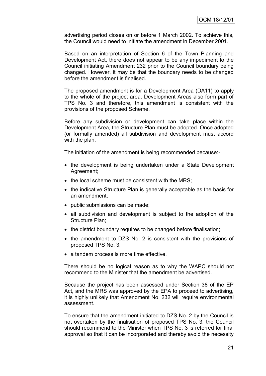advertising period closes on or before 1 March 2002. To achieve this, the Council would need to initiate the amendment in December 2001.

Based on an interpretation of Section 6 of the Town Planning and Development Act, there does not appear to be any impediment to the Council initiating Amendment 232 prior to the Council boundary being changed. However, it may be that the boundary needs to be changed before the amendment is finalised.

The proposed amendment is for a Development Area (DA11) to apply to the whole of the project area. Development Areas also form part of TPS No. 3 and therefore, this amendment is consistent with the provisions of the proposed Scheme.

Before any subdivision or development can take place within the Development Area, the Structure Plan must be adopted. Once adopted (or formally amended) all subdivision and development must accord with the plan.

The initiation of the amendment is being recommended because:-

- the development is being undertaken under a State Development Agreement;
- the local scheme must be consistent with the MRS;
- the indicative Structure Plan is generally acceptable as the basis for an amendment;
- public submissions can be made;
- all subdivision and development is subject to the adoption of the Structure Plan;
- the district boundary requires to be changed before finalisation;
- the amendment to DZS No. 2 is consistent with the provisions of proposed TPS No. 3;
- a tandem process is more time effective.

There should be no logical reason as to why the WAPC should not recommend to the Minister that the amendment be advertised.

Because the project has been assessed under Section 38 of the EP Act, and the MRS was approved by the EPA to proceed to advertising, it is highly unlikely that Amendment No. 232 will require environmental assessment.

To ensure that the amendment initiated to DZS No. 2 by the Council is not overtaken by the finalisation of proposed TPS No. 3, the Council should recommend to the Minister when TPS No. 3 is referred for final approval so that it can be incorporated and thereby avoid the necessity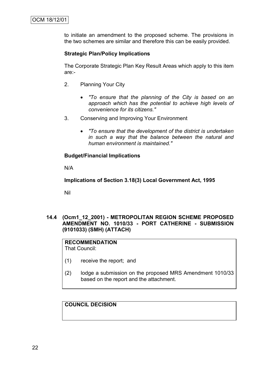to initiate an amendment to the proposed scheme. The provisions in the two schemes are similar and therefore this can be easily provided.

## **Strategic Plan/Policy Implications**

The Corporate Strategic Plan Key Result Areas which apply to this item are:-

- 2. Planning Your City
	- *"To ensure that the planning of the City is based on an approach which has the potential to achieve high levels of convenience for its citizens."*
- 3. Conserving and Improving Your Environment
	- *"To ensure that the development of the district is undertaken in such a way that the balance between the natural and human environment is maintained."*

### **Budget/Financial Implications**

N/A

**Implications of Section 3.18(3) Local Government Act, 1995**

Nil

#### **14.4 (Ocm1\_12\_2001) - METROPOLITAN REGION SCHEME PROPOSED AMENDMENT NO. 1010/33 - PORT CATHERINE - SUBMISSION (9101033) (SMH) (ATTACH)**

#### **RECOMMENDATION** That Council:

- (1) receive the report; and
- (2) lodge a submission on the proposed MRS Amendment 1010/33 based on the report and the attachment.

**COUNCIL DECISION**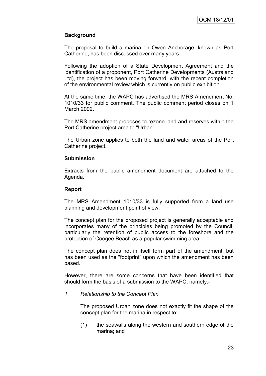## **Background**

The proposal to build a marina on Owen Anchorage, known as Port Catherine, has been discussed over many years.

Following the adoption of a State Development Agreement and the identification of a proponent, Port Catherine Developments (Australand Ltd), the project has been moving forward, with the recent completion of the environmental review which is currently on public exhibition.

At the same time, the WAPC has advertised the MRS Amendment No. 1010/33 for public comment. The public comment period closes on 1 March 2002.

The MRS amendment proposes to rezone land and reserves within the Port Catherine project area to "Urban".

The Urban zone applies to both the land and water areas of the Port Catherine project.

#### **Submission**

Extracts from the public amendment document are attached to the Agenda.

#### **Report**

The MRS Amendment 1010/33 is fully supported from a land use planning and development point of view.

The concept plan for the proposed project is generally acceptable and incorporates many of the principles being promoted by the Council, particularly the retention of public access to the foreshore and the protection of Coogee Beach as a popular swimming area.

The concept plan does not in itself form part of the amendment, but has been used as the "footprint" upon which the amendment has been based.

However, there are some concerns that have been identified that should form the basis of a submission to the WAPC, namely:-

#### *1. Relationship to the Concept Plan*

The proposed Urban zone does not exactly fit the shape of the concept plan for the marina in respect to:-

(1) the seawalls along the western and southern edge of the marina; and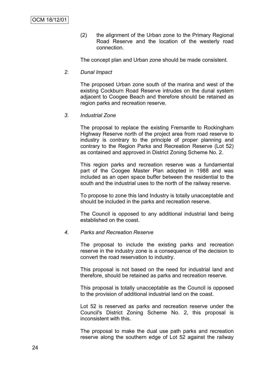(2) the alignment of the Urban zone to the Primary Regional Road Reserve and the location of the westerly road connection.

The concept plan and Urban zone should be made consistent.

*2. Dunal Impact*

The proposed Urban zone south of the marina and west of the existing Cockburn Road Reserve intrudes on the dunal system adjacent to Coogee Beach and therefore should be retained as region parks and recreation reserve.

*3. Industrial Zone*

The proposal to replace the existing Fremantle to Rockingham Highway Reserve north of the project area from road reserve to industry is contrary to the principle of proper planning and contrary to the Region Parks and Recreation Reserve (Lot 52) as contained and approved in District Zoning Scheme No. 2.

This region parks and recreation reserve was a fundamental part of the Coogee Master Plan adopted in 1988 and was included as an open space buffer between the residential to the south and the industrial uses to the north of the railway reserve.

To propose to zone this land Industry is totally unacceptable and should be included in the parks and recreation reserve.

The Council is opposed to any additional industrial land being established on the coast.

#### *4. Parks and Recreation Reserve*

The proposal to include the existing parks and recreation reserve in the industry zone is a consequence of the decision to convert the road reservation to industry.

This proposal is not based on the need for industrial land and therefore, should be retained as parks and recreation reserve.

This proposal is totally unacceptable as the Council is opposed to the provision of additional industrial land on the coast.

Lot 52 is reserved as parks and recreation reserve under the Council's District Zoning Scheme No. 2, this proposal is inconsistent with this.

The proposal to make the dual use path parks and recreation reserve along the southern edge of Lot 52 against the railway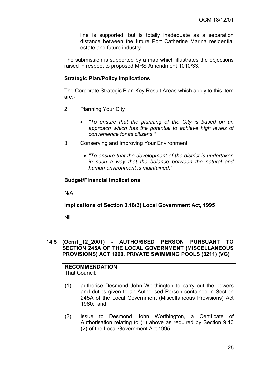line is supported, but is totally inadequate as a separation distance between the future Port Catherine Marina residential estate and future industry.

The submission is supported by a map which illustrates the objections raised in respect to proposed MRS Amendment 1010/33.

### **Strategic Plan/Policy Implications**

The Corporate Strategic Plan Key Result Areas which apply to this item are:-

- 2. Planning Your City
	- *"To ensure that the planning of the City is based on an approach which has the potential to achieve high levels of convenience for its citizens."*
- 3. Conserving and Improving Your Environment
	- *"To ensure that the development of the district is undertaken in such a way that the balance between the natural and human environment is maintained."*

### **Budget/Financial Implications**

N/A

## **Implications of Section 3.18(3) Local Government Act, 1995**

Nil

## **14.5 (Ocm1\_12\_2001) - AUTHORISED PERSON PURSUANT TO SECTION 245A OF THE LOCAL GOVERNMENT (MISCELLANEOUS PROVISIONS) ACT 1960, PRIVATE SWIMMING POOLS (3211) (VG)**

#### **RECOMMENDATION** That Council:

- (1) authorise Desmond John Worthington to carry out the powers and duties given to an Authorised Person contained in Section 245A of the Local Government (Miscellaneous Provisions) Act 1960; and
- (2) issue to Desmond John Worthington, a Certificate of Authorisation relating to (1) above as required by Section 9.10 (2) of the Local Government Act 1995.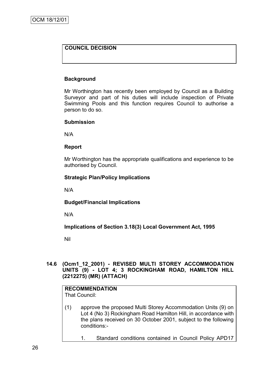## **COUNCIL DECISION**

### **Background**

Mr Worthington has recently been employed by Council as a Building Surveyor and part of his duties will include inspection of Private Swimming Pools and this function requires Council to authorise a person to do so.

#### **Submission**

N/A

#### **Report**

Mr Worthington has the appropriate qualifications and experience to be authorised by Council.

#### **Strategic Plan/Policy Implications**

N/A

### **Budget/Financial Implications**

N/A

**Implications of Section 3.18(3) Local Government Act, 1995**

Nil

### **14.6 (Ocm1\_12\_2001) - REVISED MULTI STOREY ACCOMMODATION UNITS (9) - LOT 4; 3 ROCKINGHAM ROAD, HAMILTON HILL (2212275) (MR) (ATTACH)**

## **RECOMMENDATION**

That Council:

- (1) approve the proposed Multi Storey Accommodation Units (9) on Lot 4 (No 3) Rockingham Road Hamilton Hill, in accordance with the plans received on 30 October 2001, subject to the following conditions:-
	- 1. Standard conditions contained in Council Policy APD17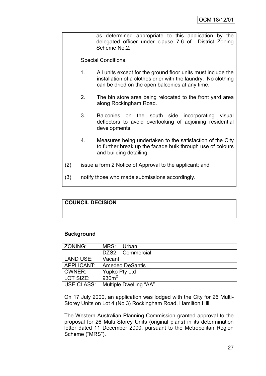as determined appropriate to this application by the delegated officer under clause 7.6 of District Zoning Scheme No.2;

Special Conditions.

- 1. All units except for the ground floor units must include the installation of a clothes drier with the laundry. No clothing can be dried on the open balconies at any time.
- 2. The bin store area being relocated to the front yard area along Rockingham Road.
- 3. Balconies on the south side incorporating visual deflectors to avoid overlooking of adjoining residential developments.
- 4. Measures being undertaken to the satisfaction of the City to further break up the facade bulk through use of colours and building detailing.
- (2) issue a form 2 Notice of Approval to the applicant; and
- (3) notify those who made submissions accordingly.

## **COUNCIL DECISION**

### **Background**

| ZONING:                              | MRS:             | Urban                  |
|--------------------------------------|------------------|------------------------|
|                                      |                  | DZS2:   Commercial     |
| LAND USE:                            | Vacant           |                        |
| APPLICANT:<br><b>Amedeo DeSantis</b> |                  |                        |
| OWNER:                               | Yupko Pty Ltd    |                        |
| LOT SIZE:                            | 930 <sup>2</sup> |                        |
| USE CLASS:                           |                  | Multiple Dwelling "AA" |

On 17 July 2000, an application was lodged with the City for 26 Multi-Storey Units on Lot 4 (No 3) Rockingham Road, Hamilton Hill.

The Western Australian Planning Commission granted approval to the proposal for 26 Multi Storey Units (original plans) in its determination letter dated 11 December 2000, pursuant to the Metropolitan Region Scheme ("MRS").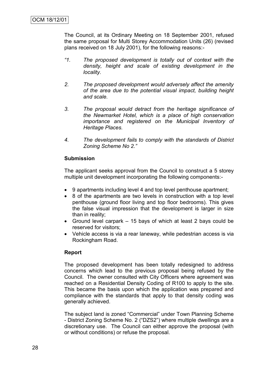The Council, at its Ordinary Meeting on 18 September 2001, refused the same proposal for Multi Storey Accommodation Units (26) (revised plans received on 18 July 2001), for the following reasons:-

- *"1. The proposed development is totally out of context with the density, height and scale of existing development in the locality.*
- *2. The proposed development would adversely affect the amenity of the area due to the potential visual impact, building height and scale.*
- *3. The proposal would detract from the heritage significance of the Newmarket Hotel, which is a place of high conservation importance and registered on the Municipal Inventory of Heritage Places.*
- *4. The development fails to comply with the standards of District Zoning Scheme No 2."*

#### **Submission**

The applicant seeks approval from the Council to construct a 5 storey multiple unit development incorporating the following components:-

- 9 apartments including level 4 and top level penthouse apartment;
- 8 of the apartments are two levels in construction with a top level penthouse (ground floor living and top floor bedrooms). This gives the false visual impression that the development is larger in size than in reality;
- Ground level carpark 15 bays of which at least 2 bays could be reserved for visitors;
- Vehicle access is via a rear laneway, while pedestrian access is via Rockingham Road.

### **Report**

The proposed development has been totally redesigned to address concerns which lead to the previous proposal being refused by the Council. The owner consulted with City Officers where agreement was reached on a Residential Density Coding of R100 to apply to the site. This became the basis upon which the application was prepared and compliance with the standards that apply to that density coding was generally achieved.

The subject land is zoned "Commercial" under Town Planning Scheme - District Zoning Scheme No. 2 ("DZS2") where multiple dwellings are a discretionary use. The Council can either approve the proposal (with or without conditions) or refuse the proposal.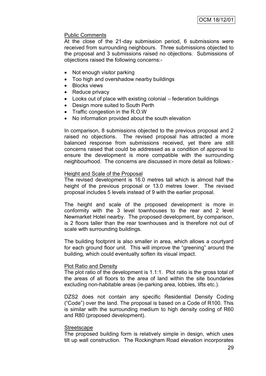## Public Comments

At the close of the 21-day submission period, 6 submissions were received from surrounding neighbours. Three submissions objected to the proposal and 3 submissions raised no objections. Submissions of objections raised the following concerns:-

- Not enough visitor parking
- Too high and overshadow nearby buildings
- Blocks views
- Reduce privacy
- Looks out of place with existing colonial federation buildings
- Design more suited to South Perth
- Traffic congestion in the R.O.W
- No information provided about the south elevation

In comparison, 8 submissions objected to the previous proposal and 2 raised no objections. The revised proposal has attracted a more balanced response from submissions received, yet there are still concerns raised that could be addressed as a condition of approval to ensure the development is more compatible with the surrounding neighbourhood. The concerns are discussed in more detail as follows:-

#### Height and Scale of the Proposal

The revised development is 16.0 metres tall which is almost half the height of the previous proposal or 13.0 metres lower. The revised proposal includes 5 levels instead of 9 with the earlier proposal.

The height and scale of the proposed development is more in conformity with the 3 level townhouses to the rear and 2 level Newmarket Hotel nearby. The proposed development, by comparison, is 2 floors taller than the rear townhouses and is therefore not out of scale with surrounding buildings.

The building footprint is also smaller in area, which allows a courtyard for each ground floor unit. This will improve the "greening" around the building, which could eventually soften its visual impact.

#### Plot Ratio and Density

The plot ratio of the development is 1.1:1. Plot ratio is the gross total of the areas of all floors to the area of land within the site boundaries excluding non-habitable areas (ie-parking area, lobbies, lifts etc.).

DZS2 does not contain any specific Residential Density Coding ("Code") over the land. The proposal is based on a Code of R100. This is similar with the surrounding medium to high density coding of R60 and R80 (proposed development).

#### **Streetscape**

The proposed building form is relatively simple in design, which uses tilt up wall construction. The Rockingham Road elevation incorporates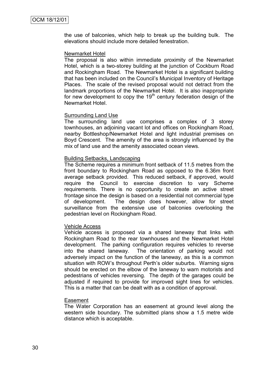the use of balconies, which help to break up the building bulk. The elevations should include more detailed fenestration.

#### Newmarket Hotel

The proposal is also within immediate proximity of the Newmarket Hotel, which is a two-storey building at the junction of Cockburn Road and Rockingham Road. The Newmarket Hotel is a significant building that has been included on the Council"s Municipal Inventory of Heritage Places. The scale of the revised proposal would not detract from the landmark proportions of the Newmarket Hotel. It is also inappropriate for new development to copy the  $19<sup>th</sup>$  century federation design of the Newmarket Hotel.

#### Surrounding Land Use

The surrounding land use comprises a complex of 3 storey townhouses, an adjoining vacant lot and offices on Rockingham Road, nearby Bottleshop/Newmarket Hotel and light industrial premises on Boyd Crescent. The amenity of the area is strongly influenced by the mix of land use and the amenity associated ocean views.

#### Building Setbacks, Landscaping

The Scheme requires a minimum front setback of 11.5 metres from the front boundary to Rockingham Road as opposed to the 6.36m front average setback provided. This reduced setback, if approved, would require the Council to exercise discretion to vary Scheme requirements. There is no opportunity to create an active street frontage since the design is based on a residential not commercial type of development. The design does however, allow for street surveillance from the extensive use of balconies overlooking the pedestrian level on Rockingham Road.

#### Vehicle Access

Vehicle access is proposed via a shared laneway that links with Rockingham Road to the rear townhouses and the Newmarket Hotel development. The parking configuration requires vehicles to reverse into the shared laneway. The orientation of parking would not adversely impact on the function of the laneway, as this is a common situation with ROW"s throughout Perth"s older suburbs. Warning signs should be erected on the elbow of the laneway to warn motorists and pedestrians of vehicles reversing. The depth of the garages could be adjusted if required to provide for improved sight lines for vehicles. This is a matter that can be dealt with as a condition of approval.

#### Easement

The Water Corporation has an easement at ground level along the western side boundary. The submitted plans show a 1.5 metre wide distance which is acceptable.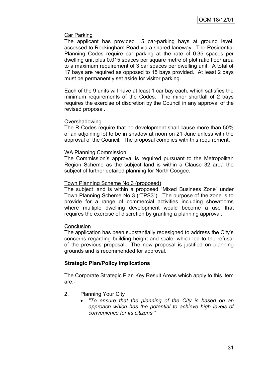### Car Parking

The applicant has provided 15 car-parking bays at ground level, accessed to Rockingham Road via a shared laneway. The Residential Planning Codes require car parking at the rate of 0.35 spaces per dwelling unit plus 0.015 spaces per square metre of plot ratio floor area to a maximum requirement of 3 car spaces per dwelling unit. A total of 17 bays are required as opposed to 15 bays provided. At least 2 bays must be permanently set aside for visitor parking.

Each of the 9 units will have at least 1 car bay each, which satisfies the minimum requirements of the Codes. The minor shortfall of 2 bays requires the exercise of discretion by the Council in any approval of the revised proposal.

### Overshadowing

The R-Codes require that no development shall cause more than 50% of an adjoining lot to be in shadow at noon on 21 June unless with the approval of the Council. The proposal complies with this requirement.

### WA Planning Commission

The Commission"s approval is required pursuant to the Metropolitan Region Scheme as the subject land is within a Clause 32 area the subject of further detailed planning for North Coogee.

### Town Planning Scheme No 3 (proposed)

The subject land is within a proposed "Mixed Business Zone" under Town Planning Scheme No 3 ("TPS3"). The purpose of the zone is to provide for a range of commercial activities including showrooms where multiple dwelling development would become a use that requires the exercise of discretion by granting a planning approval.

# **Conclusion**

The application has been substantially redesigned to address the City"s concerns regarding building height and scale, which led to the refusal of the previous proposal. The new proposal is justified on planning grounds and is recommended for approval.

# **Strategic Plan/Policy Implications**

The Corporate Strategic Plan Key Result Areas which apply to this item are:-

- 2. Planning Your City
	- *"To ensure that the planning of the City is based on an approach which has the potential to achieve high levels of convenience for its citizens."*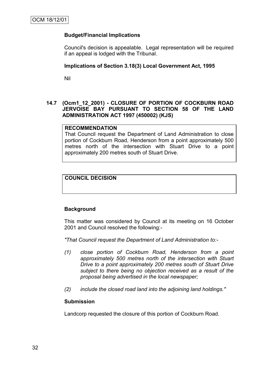# **Budget/Financial Implications**

Council's decision is appealable. Legal representation will be required if an appeal is lodged with the Tribunal.

### **Implications of Section 3.18(3) Local Government Act, 1995**

Nil

# **14.7 (Ocm1\_12\_2001) - CLOSURE OF PORTION OF COCKBURN ROAD JERVOISE BAY PURSUANT TO SECTION 58 OF THE LAND ADMINISTRATION ACT 1997 (450002) (KJS)**

#### **RECOMMENDATION**

That Council request the Department of Land Administration to close portion of Cockburn Road, Henderson from a point approximately 500 metres north of the intersection with Stuart Drive to a point approximately 200 metres south of Stuart Drive.

# **COUNCIL DECISION**

# **Background**

This matter was considered by Council at its meeting on 16 October 2001 and Council resolved the following:-

*"That Council request the Department of Land Administration to:-*

- *(1) close portion of Cockburn Road, Henderson from a point approximately 500 metres north of the intersection with Stuart Drive to a point approximately 200 metres south of Stuart Drive subject to there being no objection received as a result of the proposal being advertised in the local newspaper;*
- *(2) include the closed road land into the adjoining land holdings."*

# **Submission**

Landcorp requested the closure of this portion of Cockburn Road.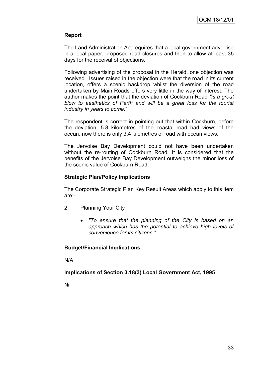# **Report**

The Land Administration Act requires that a local government advertise in a local paper, proposed road closures and then to allow at least 35 days for the receival of objections.

Following advertising of the proposal in the Herald, one objection was received. Issues raised in the objection were that the road in its current location, offers a scenic backdrop whilst the diversion of the road undertaken by Main Roads offers very little in the way of interest. The author makes the point that the deviation of Cockburn Road *"is a great blow to aesthetics of Perth and will be a great loss for the tourist industry in years to come*."

The respondent is correct in pointing out that within Cockburn, before the deviation, 5.8 kilometres of the coastal road had views of the ocean, now there is only 3.4 kilometres of road with ocean views.

The Jervoise Bay Development could not have been undertaken without the re-routing of Cockburn Road. It is considered that the benefits of the Jervoise Bay Development outweighs the minor loss of the scenic value of Cockburn Road.

# **Strategic Plan/Policy Implications**

The Corporate Strategic Plan Key Result Areas which apply to this item are:-

- 2. Planning Your City
	- *"To ensure that the planning of the City is based on an approach which has the potential to achieve high levels of convenience for its citizens."*

# **Budget/Financial Implications**

N/A

# **Implications of Section 3.18(3) Local Government Act, 1995**

Nil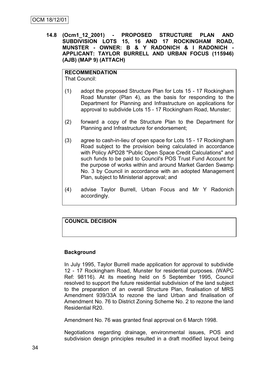**14.8 (Ocm1\_12\_2001) - PROPOSED STRUCTURE PLAN AND SUBDIVISION LOTS 15, 16 AND 17 ROCKINGHAM ROAD, MUNSTER - OWNER: B & Y RADONICH & I RADONICH - APPLICANT: TAYLOR BURRELL AND URBAN FOCUS (115946) (AJB) (MAP 9) (ATTACH)**

# **RECOMMENDATION**

That Council:

- (1) adopt the proposed Structure Plan for Lots 15 17 Rockingham Road Munster (Plan 4), as the basis for responding to the Department for Planning and Infrastructure on applications for approval to subdivide Lots 15 - 17 Rockingham Road, Munster;
- (2) forward a copy of the Structure Plan to the Department for Planning and Infrastructure for endorsement;
- (3) agree to cash-in-lieu of open space for Lots 15 17 Rockingham Road subject to the provision being calculated in accordance with Policy APD28 "Public Open Space Credit Calculations" and such funds to be paid to Council's POS Trust Fund Account for the purpose of works within and around Market Garden Swamp No. 3 by Council in accordance with an adopted Management Plan, subject to Ministerial approval; and
- (4) advise Taylor Burrell, Urban Focus and Mr Y Radonich accordingly.

# **COUNCIL DECISION**

# **Background**

In July 1995, Taylor Burrell made application for approval to subdivide 12 - 17 Rockingham Road, Munster for residential purposes. (WAPC Ref: 98116). At its meeting held on 5 September 1995, Council resolved to support the future residential subdivision of the land subject to the preparation of an overall Structure Plan, finalisation of MRS Amendment 939/33A to rezone the land Urban and finalisation of Amendment No. 76 to District Zoning Scheme No. 2 to rezone the land Residential R20.

Amendment No. 76 was granted final approval on 6 March 1998.

Negotiations regarding drainage, environmental issues, POS and subdivision design principles resulted in a draft modified layout being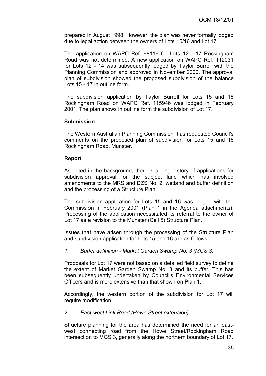prepared in August 1998. However, the plan was never formally lodged due to legal action between the owners of Lots 15/16 and Lot 17.

The application on WAPC Ref. 98116 for Lots 12 - 17 Rockingham Road was not determined. A new application on WAPC Ref. 112031 for Lots 12 - 14 was subsequently lodged by Taylor Burrell with the Planning Commission and approved in November 2000. The approval plan of subdivision showed the proposed subdivision of the balance Lots 15 - 17 in outline form.

The subdivision application by Taylor Burrell for Lots 15 and 16 Rockingham Road on WAPC Ref. 115946 was lodged in February 2001. The plan shows in outline form the subdivision of Lot 17.

### **Submission**

The Western Australian Planning Commission has requested Council's comments on the proposed plan of subdivision for Lots 15 and 16 Rockingham Road, Munster.

### **Report**

As noted in the background, there is a long history of applications for subdivision approval for the subject land which has involved amendments to the MRS and DZS No. 2, wetland and buffer definition and the processing of a Structure Plan.

The subdivision application for Lots 15 and 16 was lodged with the Commission in February 2001 (Plan 1 in the Agenda attachments). Processing of the application necessitated its referral to the owner of Lot 17 as a revision to the Munster (Cell 5) Structure Plan.

Issues that have arisen through the processing of the Structure Plan and subdivision application for Lots 15 and 16 are as follows.

# *1. Buffer definition - Market Garden Swamp No. 3 (MGS 3)*

Proposals for Lot 17 were not based on a detailed field survey to define the extent of Market Garden Swamp No. 3 and its buffer. This has been subsequently undertaken by Council's Environmental Services Officers and is more extensive than that shown on Plan 1.

Accordingly, the western portion of the subdivision for Lot 17 will require modification.

# *2. East-west Link Road (Howe Street extension)*

Structure planning for the area has determined the need for an eastwest connecting road from the Howe Street/Rockingham Road intersection to MGS 3, generally along the northern boundary of Lot 17.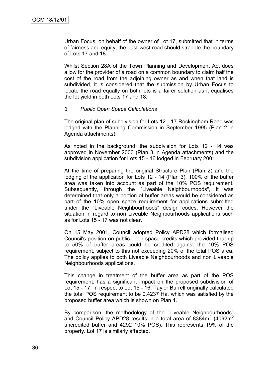Urban Focus, on behalf of the owner of Lot 17, submitted that in terms of fairness and equity, the east-west road should straddle the boundary of Lots 17 and 18.

Whilst Section 28A of the Town Planning and Development Act does allow for the provider of a road on a common boundary to claim half the cost of the road from the adjoining owner as and when that land is subdivided, it is considered that the submission by Urban Focus to locate the road equally on both lots is a fairer solution as it equalises the lot yield in both Lots 17 and 18.

#### *3. Public Open Space Calculations*

The original plan of subdivision for Lots 12 - 17 Rockingham Road was lodged with the Planning Commission in September 1995 (Plan 2 in Agenda attachments).

As noted in the background, the subdivision for Lots 12 - 14 was approved in November 2000 (Plan 3 in Agenda attachments) and the subdivision application for Lots 15 - 16 lodged in February 2001.

At the time of preparing the original Structure Plan (Plan 2) and the lodging of the application for Lots 12 - 14 (Plan 3), 100% of the buffer area was taken into account as part of the 10% POS requirement. Subsequently, through the "Liveable Neighbourhoods", it was determined that only a portion of buffer areas would be considered as part of the 10% open space requirement for applications submitted under the "Liveable Neighbourhoods" design codes. However the situation in regard to non Liveable Neighbourhoods applications such as for Lots 15 - 17 was not clear.

On 15 May 2001, Council adopted Policy APD28 which formalised Council's position on public open space credits which provided that up to 50% of buffer areas could be credited against the 10% POS requirement, subject to this not exceeding 20% of the total POS area. The policy applies to both Liveable Neighbourhoods and non Liveable Neighbourhoods applications.

This change in treatment of the buffer area as part of the POS requirement, has a significant impact on the proposed subdivision of Lot 15 - 17. In respect to Lot 15 - 16, Taylor Burrell originally calculated the total POS requirement to be 0.4237 Ha. which was satisfied by the proposed buffer area which is shown on Plan 1.

By comparison, the methodology of the "Liveable Neighbourhoods" and Council Policy APD28 results in a total area of 8384 $m^2$  (4092 $m^2$ uncredited buffer and 4292 10% POS). This represents 19% of the property. Lot 17 is similarly affected.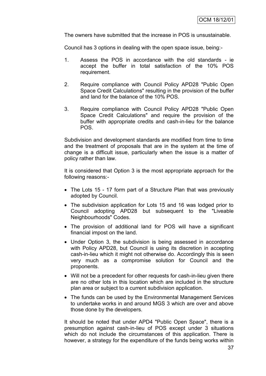The owners have submitted that the increase in POS is unsustainable.

Council has 3 options in dealing with the open space issue, being:-

- 1. Assess the POS in accordance with the old standards ie accept the buffer in total satisfaction of the 10% POS requirement.
- 2. Require compliance with Council Policy APD28 "Public Open Space Credit Calculations" resulting in the provision of the buffer and land for the balance of the 10% POS.
- 3. Require compliance with Council Policy APD28 "Public Open Space Credit Calculations" and require the provision of the buffer with appropriate credits and cash-in-lieu for the balance POS.

Subdivision and development standards are modified from time to time and the treatment of proposals that are in the system at the time of change is a difficult issue, particularly when the issue is a matter of policy rather than law.

It is considered that Option 3 is the most appropriate approach for the following reasons:-

- The Lots 15 17 form part of a Structure Plan that was previously adopted by Council.
- The subdivision application for Lots 15 and 16 was lodged prior to Council adopting APD28 but subsequent to the "Liveable Neighbourhoods" Codes.
- The provision of additional land for POS will have a significant financial impost on the land.
- Under Option 3, the subdivision is being assessed in accordance with Policy APD28, but Council is using its discretion in accepting cash-in-lieu which it might not otherwise do. Accordingly this is seen very much as a compromise solution for Council and the proponents.
- Will not be a precedent for other requests for cash-in-lieu given there are no other lots in this location which are included in the structure plan area or subject to a current subdivision application.
- The funds can be used by the Environmental Management Services to undertake works in and around MGS 3 which are over and above those done by the developers.

It should be noted that under APD4 "Public Open Space", there is a presumption against cash-in-lieu of POS except under 3 situations which do not include the circumstances of this application. There is however, a strategy for the expenditure of the funds being works within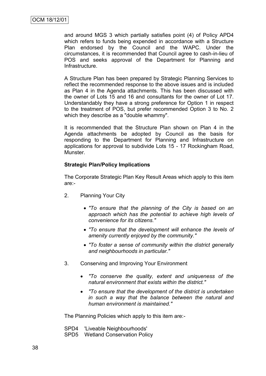and around MGS 3 which partially satisfies point (4) of Policy APD4 which refers to funds being expended in accordance with a Structure Plan endorsed by the Council and the WAPC. Under the circumstances, it is recommended that Council agree to cash-in-lieu of POS and seeks approval of the Department for Planning and Infrastructure.

A Structure Plan has been prepared by Strategic Planning Services to reflect the recommended response to the above issues and is included as Plan 4 in the Agenda attachments. This has been discussed with the owner of Lots 15 and 16 and consultants for the owner of Lot 17. Understandably they have a strong preference for Option 1 in respect to the treatment of POS, but prefer recommended Option 3 to No. 2 which they describe as a "double whammy".

It is recommended that the Structure Plan shown on Plan 4 in the Agenda attachments be adopted by Council as the basis for responding to the Department for Planning and Infrastructure on applications for approval to subdivide Lots 15 - 17 Rockingham Road, Munster.

### **Strategic Plan/Policy Implications**

The Corporate Strategic Plan Key Result Areas which apply to this item are:-

- 2. Planning Your City
	- *"To ensure that the planning of the City is based on an approach which has the potential to achieve high levels of convenience for its citizens."*
	- *"To ensure that the development will enhance the levels of amenity currently enjoyed by the community."*
	- *"To foster a sense of community within the district generally and neighbourhoods in particular."*
- 3. Conserving and Improving Your Environment
	- *"To conserve the quality, extent and uniqueness of the natural environment that exists within the district."*
	- *"To ensure that the development of the district is undertaken in such a way that the balance between the natural and human environment is maintained."*

The Planning Policies which apply to this item are:-

- SPD4 'Liveable Neighbourhoods'
- SPD5 Wetland Conservation Policy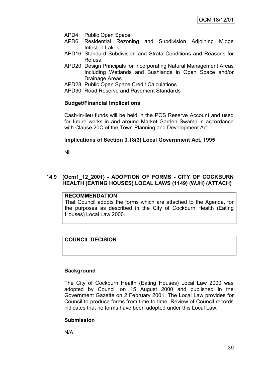- APD4 Public Open Space
- APD6 Residential Rezoning and Subdivision Adjoining Midge Infested Lakes
- APD16 Standard Subdivision and Strata Conditions and Reasons for Refusal
- APD20 Design Principals for Incorporating Natural Management Areas Including Wetlands and Bushlands in Open Space and/or Drainage Areas
- APD28 Public Open Space Credit Calculations
- APD30 Road Reserve and Pavement Standards

# **Budget/Financial Implications**

Cash-in-lieu funds will be held in the POS Reserve Account and used for future works in and around Market Garden Swamp in accordance with Clause 20C of the Town Planning and Development Act.

# **Implications of Section 3.18(3) Local Government Act, 1995**

Nil

# **14.9 (Ocm1\_12\_2001) - ADOPTION OF FORMS - CITY OF COCKBURN HEALTH (EATING HOUSES) LOCAL LAWS (1149) (WJH) (ATTACH)**

# **RECOMMENDATION**

That Council adopts the forms which are attached to the Agenda, for the purposes as described in the City of Cockburn Health (Eating Houses) Local Law 2000.

# **COUNCIL DECISION**

# **Background**

The City of Cockburn Health (Eating Houses) Local Law 2000 was adopted by Council on 15 August 2000 and published in the Government Gazette on 2 February 2001. The Local Law provides for Council to produce forms from time to time. Review of Council records indicates that no forms have been adopted under this Local Law.

# **Submission**

N/A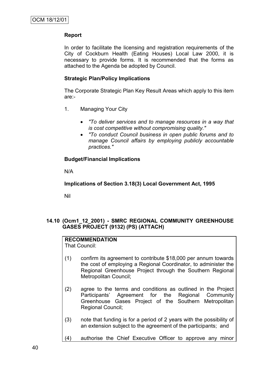# **Report**

In order to facilitate the licensing and registration requirements of the City of Cockburn Health (Eating Houses) Local Law 2000, it is necessary to provide forms. It is recommended that the forms as attached to the Agenda be adopted by Council.

# **Strategic Plan/Policy Implications**

The Corporate Strategic Plan Key Result Areas which apply to this item are:-

- 1. Managing Your City
	- *"To deliver services and to manage resources in a way that is cost competitive without compromising quality."*
	- *"To conduct Council business in open public forums and to manage Council affairs by employing publicly accountable practices."*

# **Budget/Financial Implications**

N/A

**Implications of Section 3.18(3) Local Government Act, 1995**

Nil

# **14.10 (Ocm1\_12\_2001) - SMRC REGIONAL COMMUNITY GREENHOUSE GASES PROJECT (9132) (PS) (ATTACH)**

# **RECOMMENDATION**

That Council:

- (1) confirm its agreement to contribute \$18,000 per annum towards the cost of employing a Regional Coordinator, to administer the Regional Greenhouse Project through the Southern Regional Metropolitan Council;
- (2) agree to the terms and conditions as outlined in the Project Participants" Agreement for the Regional Community Greenhouse Gases Project of the Southern Metropolitan Regional Council;
- (3) note that funding is for a period of 2 years with the possibility of an extension subject to the agreement of the participants; and
- (4) authorise the Chief Executive Officer to approve any minor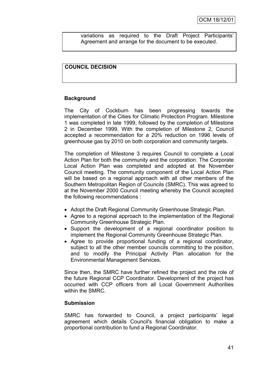variations as required to the Draft Project Participants" Agreement and arrange for the document to be executed.

# **COUNCIL DECISION**

# **Background**

The City of Cockburn has been progressing towards the implementation of the Cities for Climatic Protection Program. Milestone 1 was completed in late 1999, followed by the completion of Milestone 2 in December 1999. With the completion of Milestone 2, Council accepted a recommendation for a 20% reduction on 1996 levels of greenhouse gas by 2010 on both corporation and community targets.

The completion of Milestone 3 requires Council to complete a Local Action Plan for both the community and the corporation. The Corporate Local Action Plan was completed and adopted at the November Council meeting. The community component of the Local Action Plan will be based on a regional approach with all other members of the Southern Metropolitan Region of Councils (SMRC). This was agreed to at the November 2000 Council meeting whereby the Council accepted the following recommendations :

- Adopt the Draft Regional Community Greenhouse Strategic Plan.
- Agree to a regional approach to the implementation of the Regional Community Greenhouse Strategic Plan.
- Support the development of a regional coordinator position to implement the Regional Community Greenhouse Strategic Plan.
- Agree to provide proportional funding of a regional coordinator, subject to all the other member councils committing to the position, and to modify the Principal Activity Plan allocation for the Environmental Management Services.

Since then, the SMRC have further refined the project and the role of the future Regional CCP Coordinator. Development of the project has occurred with CCP officers from all Local Government Authorities within the SMRC.

# **Submission**

SMRC has forwarded to Council, a project participants' legal agreement which details Council's financial obligation to make a proportional contribution to fund a Regional Coordinator.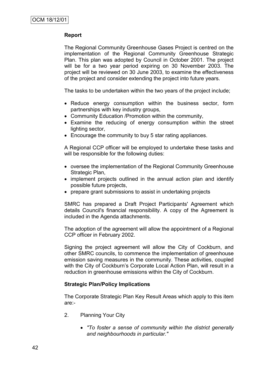# **Report**

The Regional Community Greenhouse Gases Project is centred on the implementation of the Regional Community Greenhouse Strategic Plan. This plan was adopted by Council in October 2001. The project will be for a two year period expiring on 30 November 2003. The project will be reviewed on 30 June 2003, to examine the effectiveness of the project and consider extending the project into future years.

The tasks to be undertaken within the two years of the project include;

- Reduce energy consumption within the business sector, form partnerships with key industry groups,
- Community Education /Promotion within the community,
- Examine the reducing of energy consumption within the street lighting sector,
- Encourage the community to buy 5 star rating appliances.

A Regional CCP officer will be employed to undertake these tasks and will be responsible for the following duties:

- oversee the implementation of the Regional Community Greenhouse Strategic Plan,
- implement projects outlined in the annual action plan and identify possible future projects,
- prepare grant submissions to assist in undertaking projects

SMRC has prepared a Draft Project Participants' Agreement which details Council's financial responsibility. A copy of the Agreement is included in the Agenda attachments.

The adoption of the agreement will allow the appointment of a Regional CCP officer in February 2002.

Signing the project agreement will allow the City of Cockburn, and other SMRC councils, to commence the implementation of greenhouse emission saving measures in the community. These activities, coupled with the City of Cockburn's Corporate Local Action Plan, will result in a reduction in greenhouse emissions within the City of Cockburn.

# **Strategic Plan/Policy Implications**

The Corporate Strategic Plan Key Result Areas which apply to this item are:-

- 2. Planning Your City
	- *"To foster a sense of community within the district generally and neighbourhoods in particular."*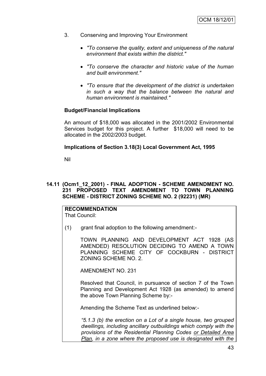- 3. Conserving and Improving Your Environment
	- *"To conserve the quality, extent and uniqueness of the natural environment that exists within the district."*
	- *"To conserve the character and historic value of the human and built environment."*
	- *"To ensure that the development of the district is undertaken in such a way that the balance between the natural and human environment is maintained."*

### **Budget/Financial Implications**

An amount of \$18,000 was allocated in the 2001/2002 Environmental Services budget for this project. A further \$18,000 will need to be allocated in the 2002/2003 budget.

### **Implications of Section 3.18(3) Local Government Act, 1995**

Nil

# **14.11 (Ocm1\_12\_2001) - FINAL ADOPTION - SCHEME AMENDMENT NO. 231 PROPOSED TEXT AMENDMENT TO TOWN PLANNING SCHEME - DISTRICT ZONING SCHEME NO. 2 (92231) (MR)**

#### **RECOMMENDATION** That Council:

(1) grant final adoption to the following amendment:-

TOWN PLANNING AND DEVELOPMENT ACT 1928 (AS AMENDED) RESOLUTION DECIDING TO AMEND A TOWN PLANNING SCHEME CITY OF COCKBURN - DISTRICT ZONING SCHEME NO. 2.

AMENDMENT NO. 231

Resolved that Council, in pursuance of section 7 of the Town Planning and Development Act 1928 (as amended) to amend the above Town Planning Scheme by:-

Amending the Scheme Text as underlined below:-

*"5.1.3 (b) the erection on a Lot of a single house, two grouped dwellings, including ancillary outbuildings which comply with the provisions of the Residential Planning Codes or Detailed Area Plan, in a zone where the proposed use is designated with the*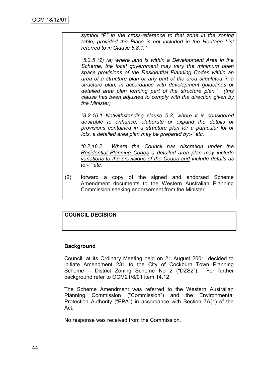*symbol "P" in the cross-reference to that zone in the zoning table, provided the Place is not included in the Heritage List referred to in Clause 5.8.1;"* 

*"5.3.5 (2) (a) where land is within a Development Area in the Scheme, the local government may vary the minimum open space provisions of the Residential Planning Codes within an area of a structure plan or any part of the area stipulated in a structure plan, in accordance with development guidelines or detailed area plan forming part of the structure plan." (this clause has been adjusted to comply with the direction given by the Minister)*

*"8.2.16.1 Notwithstanding clause 5.3, where it is considered desirable to enhance, elaborate or expand the details or provisions contained in a structure plan for a particular lot or lots, a detailed area plan may be prepared by:-" etc.* 

*"8.2.16.2 Where the Council has discretion under the Residential Planning Codes a detailed area plan may include variations to the provisions of the Codes and include details as to:- " etc.*

(2) forward a copy of the signed and endorsed Scheme Amendment documents to the Western Australian Planning Commission seeking endorsement from the Minister.

# **COUNCIL DECISION**

# **Background**

Council, at its Ordinary Meeting held on 21 August 2001, decided to initiate Amendment 231 to the City of Cockburn Town Planning Scheme – District Zoning Scheme No 2 ("DZS2"). For further background refer to OCM21/8/01 item 14.12.

The Scheme Amendment was referred to the Western Australian Planning Commission ("Commission") and the Environmental Protection Authority ("EPA") in accordance with Section 7A(1) of the Act.

No response was received from the Commission.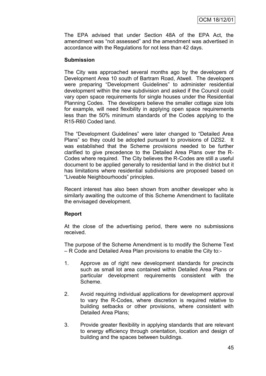The EPA advised that under Section 48A of the EPA Act, the amendment was "not assessed" and the amendment was advertised in accordance with the Regulations for not less than 42 days.

### **Submission**

The City was approached several months ago by the developers of Development Area 10 south of Bartram Road, Atwell. The developers were preparing "Development Guidelines" to administer residential development within the new subdivision and asked if the Council could vary open space requirements for single houses under the Residential Planning Codes. The developers believe the smaller cottage size lots for example, will need flexibility in applying open space requirements less than the 50% minimum standards of the Codes applying to the R15-R60 Coded land.

The "Development Guidelines" were later changed to "Detailed Area Plans" so they could be adopted pursuant to provisions of DZS2. It was established that the Scheme provisions needed to be further clarified to give precedence to the Detailed Area Plans over the R-Codes where required. The City believes the R-Codes are still a useful document to be applied generally to residential land in the district but it has limitations where residential subdivisions are proposed based on "Liveable Neighbourhoods" principles.

Recent interest has also been shown from another developer who is similarly awaiting the outcome of this Scheme Amendment to facilitate the envisaged development.

# **Report**

At the close of the advertising period, there were no submissions received.

The purpose of the Scheme Amendment is to modify the Scheme Text – R Code and Detailed Area Plan provisions to enable the City to:-

- 1. Approve as of right new development standards for precincts such as small lot area contained within Detailed Area Plans or particular development requirements consistent with the Scheme.
- 2. Avoid requiring individual applications for development approval to vary the R-Codes, where discretion is required relative to building setbacks or other provisions, where consistent with Detailed Area Plans;
- 3. Provide greater flexibility in applying standards that are relevant to energy efficiency through orientation, location and design of building and the spaces between buildings.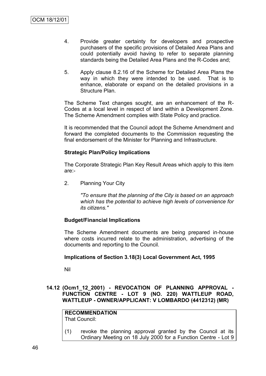- 4. Provide greater certainty for developers and prospective purchasers of the specific provisions of Detailed Area Plans and could potentially avoid having to refer to separate planning standards being the Detailed Area Plans and the R-Codes and;
- 5. Apply clause 8.2.16 of the Scheme for Detailed Area Plans the way in which they were intended to be used. That is to enhance, elaborate or expand on the detailed provisions in a Structure Plan.

The Scheme Text changes sought, are an enhancement of the R-Codes at a local level in respect of land within a Development Zone. The Scheme Amendment complies with State Policy and practice.

It is recommended that the Council adopt the Scheme Amendment and forward the completed documents to the Commission requesting the final endorsement of the Minister for Planning and Infrastructure.

### **Strategic Plan/Policy Implications**

The Corporate Strategic Plan Key Result Areas which apply to this item are:-

2. Planning Your City

*"To ensure that the planning of the City is based on an approach which has the potential to achieve high levels of convenience for its citizens."*

# **Budget/Financial Implications**

The Scheme Amendment documents are being prepared in-house where costs incurred relate to the administration, advertising of the documents and reporting to the Council.

# **Implications of Section 3.18(3) Local Government Act, 1995**

Nil

**14.12 (Ocm1\_12\_2001) - REVOCATION OF PLANNING APPROVAL - FUNCTION CENTRE - LOT 9 (NO. 220) WATTLEUP ROAD, WATTLEUP - OWNER/APPLICANT: V LOMBARDO (4412312) (MR)**

**RECOMMENDATION** That Council:

(1) revoke the planning approval granted by the Council at its Ordinary Meeting on 18 July 2000 for a Function Centre - Lot 9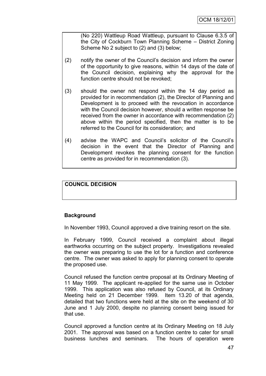(No 220) Wattleup Road Wattleup, pursuant to Clause 6.3.5 of the City of Cockburn Town Planning Scheme – District Zoning Scheme No 2 subject to (2) and (3) below;

- (2) notify the owner of the Council"s decision and inform the owner of the opportunity to give reasons, within 14 days of the date of the Council decision, explaining why the approval for the function centre should not be revoked;
- (3) should the owner not respond within the 14 day period as provided for in recommendation (2), the Director of Planning and Development is to proceed with the revocation in accordance with the Council decision however, should a written response be received from the owner in accordance with recommendation (2) above within the period specified, then the matter is to be referred to the Council for its consideration; and
- (4) advise the WAPC and Council"s solicitor of the Council"s decision in the event that the Director of Planning and Development revokes the planning consent for the function centre as provided for in recommendation (3).

# **COUNCIL DECISION**

# **Background**

In November 1993, Council approved a dive training resort on the site.

In February 1999, Council received a complaint about illegal earthworks occurring on the subject property. Investigations revealed the owner was preparing to use the lot for a function and conference centre. The owner was asked to apply for planning consent to operate the proposed use.

Council refused the function centre proposal at its Ordinary Meeting of 11 May 1999. The applicant re-applied for the same use in October 1999. This application was also refused by Council, at its Ordinary Meeting held on 21 December 1999. Item 13.20 of that agenda, detailed that two functions were held at the site on the weekend of 30 June and 1 July 2000, despite no planning consent being issued for that use.

Council approved a function centre at its Ordinary Meeting on 18 July 2001. The approval was based on a function centre to cater for small business lunches and seminars. The hours of operation were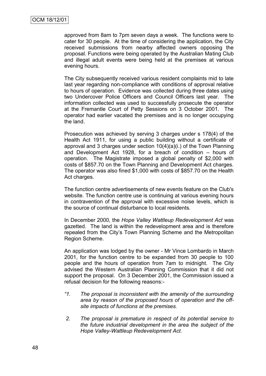approved from 8am to 7pm seven days a week. The functions were to cater for 30 people. At the time of considering the application, the City received submissions from nearby affected owners opposing the proposal. Functions were being operated by the Australian Mating Club and illegal adult events were being held at the premises at various evening hours.

The City subsequently received various resident complaints mid to late last year regarding non-compliance with conditions of approval relative to hours of operation. Evidence was collected during three dates using two Undercover Police Officers and Council Officers last year. The information collected was used to successfully prosecute the operator at the Fremantle Court of Petty Sessions on 3 October 2001. The operator had earlier vacated the premises and is no longer occupying the land.

Prosecution was achieved by serving 3 charges under s 178(4) of the Health Act 1911, for using a public building without a certificate of approval and 3 charges under section 10(4)(a)(i.) of the Town Planning and Development Act 1928, for a breach of condition – hours of operation. The Magistrate imposed a global penalty of \$2,000 with costs of \$857.70 on the Town Planning and Development Act charges. The operator was also fined \$1,000 with costs of \$857.70 on the Health Act charges.

The function centre advertisements of new events feature on the Club's website. The function centre use is continuing at various evening hours in contravention of the approval with excessive noise levels, which is the source of continual disturbance to local residents.

In December 2000, the *Hope Valley Wattleup Redevelopment Act* was gazetted. The land is within the redevelopment area and is therefore repealed from the City"s Town Planning Scheme and the Metropolitan Region Scheme.

An application was lodged by the owner - Mr Vince Lombardo in March 2001, for the function centre to be expanded from 30 people to 100 people and the hours of operation from 7am to midnight. The City advised the Western Australian Planning Commission that it did not support the proposal. On 3 December 2001, the Commission issued a refusal decision for the following reasons:-

- *"1. The proposal is inconsistent with the amenity of the surrounding area by reason of the proposed hours of operation and the offsite impacts of functions at the premises.*
- *2. The proposal is premature in respect of its potential service to the future industrial development in the area the subject of the Hope Valley-Wattleup Redevelopment Act.*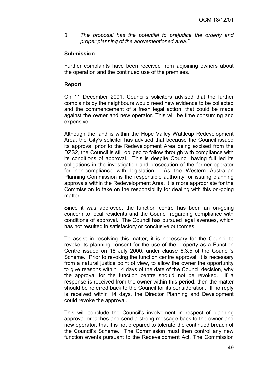*3. The proposal has the potential to prejudice the orderly and proper planning of the abovementioned area."*

# **Submission**

Further complaints have been received from adjoining owners about the operation and the continued use of the premises.

# **Report**

On 11 December 2001, Council"s solicitors advised that the further complaints by the neighbours would need new evidence to be collected and the commencement of a fresh legal action, that could be made against the owner and new operator. This will be time consuming and expensive.

Although the land is within the Hope Valley Wattleup Redevelopment Area, the City"s solicitor has advised that because the Council issued its approval prior to the Redevelopment Area being excised from the DZS2, the Council is still obliged to follow through with compliance with its conditions of approval. This is despite Council having fulfilled its obligations in the investigation and prosecution of the former operator for non-compliance with legislation. As the Western Australian Planning Commission is the responsible authority for issuing planning approvals within the Redevelopment Area, it is more appropriate for the Commission to take on the responsibility for dealing with this on-going matter.

Since it was approved, the function centre has been an on-going concern to local residents and the Council regarding compliance with conditions of approval. The Council has pursued legal avenues, which has not resulted in satisfactory or conclusive outcomes.

To assist in resolving this matter, it is necessary for the Council to revoke its planning consent for the use of the property as a Function Centre issued on 18 July 2000, under clause 6.3.5 of the Council"s Scheme. Prior to revoking the function centre approval, it is necessary from a natural justice point of view, to allow the owner the opportunity to give reasons within 14 days of the date of the Council decision, why the approval for the function centre should not be revoked. If a response is received from the owner within this period, then the matter should be referred back to the Council for its consideration. If no reply is received within 14 days, the Director Planning and Development could revoke the approval.

This will conclude the Council's involvement in respect of planning approval breaches and send a strong message back to the owner and new operator, that it is not prepared to tolerate the continued breach of the Council"s Scheme. The Commission must then control any new function events pursuant to the Redevelopment Act. The Commission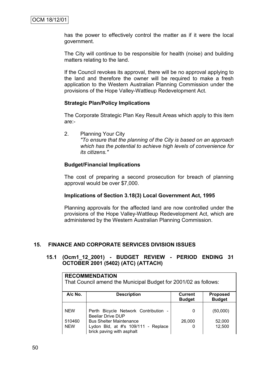has the power to effectively control the matter as if it were the local government.

The City will continue to be responsible for health (noise) and building matters relating to the land.

If the Council revokes its approval, there will be no approval applying to the land and therefore the owner will be required to make a fresh application to the Western Australian Planning Commission under the provisions of the Hope Valley-Wattleup Redevelopment Act.

### **Strategic Plan/Policy Implications**

The Corporate Strategic Plan Key Result Areas which apply to this item are:-

2. Planning Your City *"To ensure that the planning of the City is based on an approach which has the potential to achieve high levels of convenience for its citizens."*

### **Budget/Financial Implications**

The cost of preparing a second prosecution for breach of planning approval would be over \$7,000.

#### **Implications of Section 3.18(3) Local Government Act, 1995**

Planning approvals for the affected land are now controlled under the provisions of the Hope Valley-Wattleup Redevelopment Act, which are administered by the Western Australian Planning Commission.

# **15. FINANCE AND CORPORATE SERVICES DIVISION ISSUES**

# **15.1 (Ocm1\_12\_2001) - BUDGET REVIEW - PERIOD ENDING 31 OCTOBER 2001 (5402) (ATC) (ATTACH)**

| <b>RECOMMENDATION</b><br>That Council amend the Municipal Budget for 2001/02 as follows: |                                                                                                                                                                        |                                 |                                  |  |  |  |
|------------------------------------------------------------------------------------------|------------------------------------------------------------------------------------------------------------------------------------------------------------------------|---------------------------------|----------------------------------|--|--|--|
| A/c No.                                                                                  | <b>Description</b>                                                                                                                                                     | <b>Current</b><br><b>Budget</b> | <b>Proposed</b><br><b>Budget</b> |  |  |  |
| <b>NEW</b><br>510460<br><b>NEW</b>                                                       | Perth Bicycle Network Contribution -<br><b>Beeliar Drive DUP</b><br><b>Bus Shelter Maintenance</b><br>Lydon Bld, at #'s 109/111 - Replace<br>brick paving with asphalt | 0<br>26,000<br>0                | (50,000)<br>52,000<br>12,500     |  |  |  |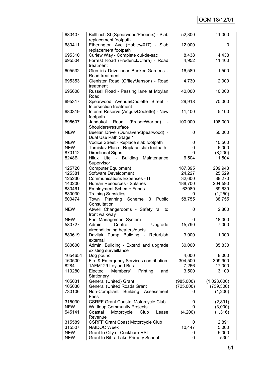# OCM 18/12/01

| 680407     | Bullfinch St (Spearwood/Phoenix) - Slab<br>replacement footpath  | 52,300       | 41,000      |
|------------|------------------------------------------------------------------|--------------|-------------|
| 680411     | Etherington Ave (Hobley/#17) - Slab<br>replacement footpath      | 12,000       | 0           |
| 695310     | Curlew Way - Complete cul-de-sac                                 | 8,438        | 4,438       |
| 695504     | Forrest Road (Frederick/Clara) - Road                            | 4,952        | 11,400      |
| 605532     | treatment<br>Glen iris Drive near Bunker Gardens -               | 16,589       | 1,500       |
| 695353     | Road treatment<br>Glenister Road (Offley/Janson) - Road          | 4,730        | 2,000       |
| 695608     | treatment<br>Russell Road - Passing lane at Moylan               | 40,000       | 10,000      |
| 695317     | Road<br>Spearwood Avenue/Doolette Street -                       | 29,918       | 70,000      |
| 680319     | Intersection treatment<br>Interim Reserve (Angus/Doolette) - New | 11,400       | 5,100       |
| 695607     | footpath<br>Jandakot<br>(Fraser/Warton)<br>Road                  | 100,000      | 108,000     |
| <b>NEW</b> | Shoulders/resurface<br>Beeliar Drive (Dunraven/Spearwood) -      | 0            | 50,000      |
|            | Dual Use Path Stage 1                                            |              |             |
| <b>NEW</b> | Vodice Street - Replace slab footpath                            | 0            | 10,500      |
| <b>NEW</b> | Tomislav Place - Replace slab footpath                           | 0            | 6,000       |
| 870112     | <b>Directional Signs</b>                                         | 0            | (8,200)     |
| 8248B      | Hilux Ute - Building<br>Maintenance                              | 6,504        | 11,504      |
|            | Supervisor                                                       |              |             |
| 125720     | <b>Computer Equipment</b>                                        | 187,395      | 209,943     |
| 125381     | Software Development                                             | 24,227       | 25,529      |
| 125230     | Communications Expenses - IT                                     | 32,600       | 38,270      |
| 140200     | Human Resources - Salaries                                       | 188,700      | 204,590     |
| 880461     | <b>Employment Scheme Funds</b>                                   | 63989        | 69,639      |
| 880030     | <b>Training Subsidies</b>                                        | $\mathbf{0}$ | (1,250)     |
| 500474     | 3<br>Public<br>Planning<br>Scheme<br>Town                        | 58,755       | 38,755      |
|            | Consultation                                                     |              |             |
| <b>NEW</b> | Atwell Changerooms - Safety rail to<br>front walkway             | 0            | 2,800       |
| <b>NEW</b> | <b>Fuel Management System</b>                                    | 0            | 18,000      |
| 580727     | Admin.<br>Centre<br>Upgrade                                      | 15,790       | 7,000       |
|            | airconditioning heaters/ducts                                    |              |             |
| 580619     | Davilak Pump Building<br>- Refurbish<br>external                 | 3,000        | 1,000       |
| 580600     | Admin. Building - Extend and upgrade<br>existing surveillance    | 30,000       | 35,830      |
| 1654654    | Dog pound                                                        | 4,000        | 8,000       |
| 160500     | Fire & Emergency Services contribution                           | 304,500      | 309,900     |
| 8284       | 1AFM129 Leyland Bus                                              | 7,266        | 17,000      |
| 110280     | Elected<br>Members'<br>Printing<br>and                           | 3,500        | 3,100       |
|            | Stationery                                                       |              |             |
| 105031     | General (United) Grant                                           | (985,000)    | (1,023,000) |
| 105030     | General (United Roads Grant                                      | (725,000)    | (739, 300)  |
| 730106     | Non-Compliant<br><b>Building</b><br>Assessment                   | 0            | (1,200)     |
|            | Fees                                                             |              |             |
| 315030     | <b>CSRFF Grant Coastal Motorcycle Club</b>                       | 0            | (2,891)     |
| <b>NEW</b> | <b>Wattleup Community Projects</b>                               | 0            | (3,000)     |
| 545141     | Coastal<br>Motorcycle<br>Club<br>Lease<br>Revenue                | (4,200)      | (1, 316)    |
| 315589     |                                                                  |              | 2,891       |
|            | <b>CSRFF Grant Coast Motorcycle Club</b><br>NAIDOC Week          | 0            |             |
| 315507     |                                                                  | 10,447       | 5,000       |
| <b>NEW</b> | Grant to City of Cockburn RSL                                    | 0            | 5,000       |
| <b>NEW</b> | Grant to Bibra Lake Primary School                               | 0            | 530         |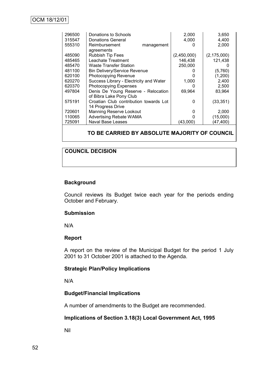# OCM 18/12/01

| 296500<br>315547 | Donations to Schools<br>Donations General | 2,000<br>4,000 | 3,650<br>4,400 |
|------------------|-------------------------------------------|----------------|----------------|
| 555310           | Reimbursement<br>management               |                | 2,000          |
|                  | agreements                                |                |                |
| 485090           | <b>Rubbish Tip Fees</b>                   | (2,450,000)    | (2, 175, 000)  |
| 485465           | Leachate Treatment                        | 146,438        | 121,438        |
| 485470           | Waste Transfer Station                    | 250,000        |                |
| 481100           | <b>Bin Delivery/Service Revenue</b>       |                | (5,760)        |
| 620100           | <b>Photocopying Revenue</b>               |                | (1,200)        |
| 620270           | Success Library - Electricity and Water   | 1,000          | 2,400          |
| 620370           | <b>Photocopying Expenses</b>              |                | 2,500          |
| 497804           | Denis De Young Reserve - Relocation       | 69,964         | 83,964         |
|                  | of Bibra Lake Pony Club                   |                |                |
| 575191           | Croatian Club contribution towards Lot    | O              | (33, 351)      |
|                  | 14 Progress Drive                         |                |                |
| 720601           | <b>Manning Reserve Lookout</b>            | O              | 2,000          |
| 110065           | <b>Advertising Rebate WAMA</b>            |                | (15,000)       |
| 725091           | <b>Naval Base Leases</b>                  | (43,000)       | (47,400)       |
|                  |                                           |                |                |

# **TO BE CARRIED BY ABSOLUTE MAJORITY OF COUNCIL**

# **COUNCIL DECISION**

### **Background**

Council reviews its Budget twice each year for the periods ending October and February.

#### **Submission**

N/A

#### **Report**

A report on the review of the Municipal Budget for the period 1 July 2001 to 31 October 2001 is attached to the Agenda.

#### **Strategic Plan/Policy Implications**

N/A

#### **Budget/Financial Implications**

A number of amendments to the Budget are recommended.

#### **Implications of Section 3.18(3) Local Government Act, 1995**

Nil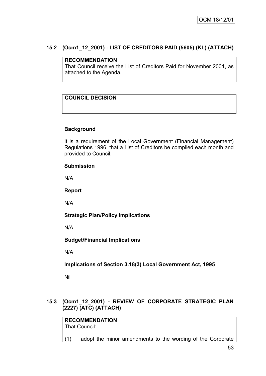# **15.2 (Ocm1\_12\_2001) - LIST OF CREDITORS PAID (5605) (KL) (ATTACH)**

# **RECOMMENDATION**

That Council receive the List of Creditors Paid for November 2001, as attached to the Agenda.

# **COUNCIL DECISION**

# **Background**

It is a requirement of the Local Government (Financial Management) Regulations 1996, that a List of Creditors be compiled each month and provided to Council.

# **Submission**

N/A

# **Report**

N/A

**Strategic Plan/Policy Implications**

N/A

**Budget/Financial Implications**

N/A

**Implications of Section 3.18(3) Local Government Act, 1995**

Nil

# **15.3 (Ocm1\_12\_2001) - REVIEW OF CORPORATE STRATEGIC PLAN (2227) (ATC) (ATTACH)**

**RECOMMENDATION** That Council:

(1) adopt the minor amendments to the wording of the Corporate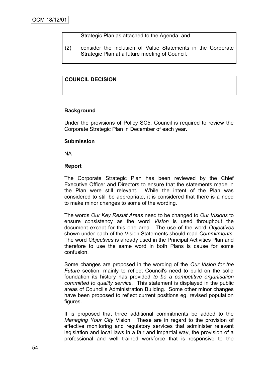Strategic Plan as attached to the Agenda; and

(2) consider the inclusion of Value Statements in the Corporate Strategic Plan at a future meeting of Council.

# **COUNCIL DECISION**

# **Background**

Under the provisions of Policy SC5, Council is required to review the Corporate Strategic Plan in December of each year.

### **Submission**

NA

# **Report**

The Corporate Strategic Plan has been reviewed by the Chief Executive Officer and Directors to ensure that the statements made in the Plan were still relevant. While the intent of the Plan was considered to still be appropriate, it is considered that there is a need to make minor changes to some of the wording.

The words *Our Key Result Areas* need to be changed to *Our Visions* to ensure consistency as the word *Vision* is used throughout the document except for this one area. The use of the word *Objectives* shown under each of the Vision Statements should read *Commitments*. The word *Objectives* is already used in the Principal Activities Plan and therefore to use the same word in both Plans is cause for some confusion.

Some changes are proposed in the wording of the *Our Vision for the Future* section, mainly to reflect Council's need to build on the solid foundation its history has provided *to be a competitive organisation committed to quality service.* This statement is displayed in the public areas of Council"s Administration Building. Some other minor changes have been proposed to reflect current positions eg. revised population figures.

It is proposed that three additional commitments be added to the *Managing Your City* Vision. These are in regard to the provision of effective monitoring and regulatory services that administer relevant legislation and local laws in a fair and impartial way, the provision of a professional and well trained workforce that is responsive to the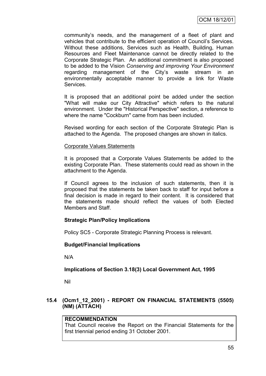community"s needs, and the management of a fleet of plant and vehicles that contribute to the efficient operation of Council"s Services. Without these additions, Services such as Health, Building, Human Resources and Fleet Maintenance cannot be directly related to the Corporate Strategic Plan. An additional commitment is also proposed to be added to the Vision *Conserving and improving Your Environment* regarding management of the City"s waste stream in an environmentally acceptable manner to provide a link for Waste Services.

It is proposed that an additional point be added under the section "What will make our City Attractive" which refers to the natural environment. Under the "Historical Perspective" section, a reference to where the name "Cockburn" came from has been included.

Revised wording for each section of the Corporate Strategic Plan is attached to the Agenda. The proposed changes are shown in italics.

### Corporate Values Statements

It is proposed that a Corporate Values Statements be added to the existing Corporate Plan. These statements could read as shown in the attachment to the Agenda.

If Council agrees to the inclusion of such statements, then it is proposed that the statements be taken back to staff for input before a final decision is made in regard to their content. It is considered that the statements made should reflect the values of both Elected Members and Staff.

# **Strategic Plan/Policy Implications**

Policy SC5 - Corporate Strategic Planning Process is relevant.

# **Budget/Financial Implications**

N/A

# **Implications of Section 3.18(3) Local Government Act, 1995**

Nil

# **15.4 (Ocm1\_12\_2001) - REPORT ON FINANCIAL STATEMENTS (5505) (NM) (ATTACH)**

# **RECOMMENDATION**

That Council receive the Report on the Financial Statements for the first triennial period ending 31 October 2001.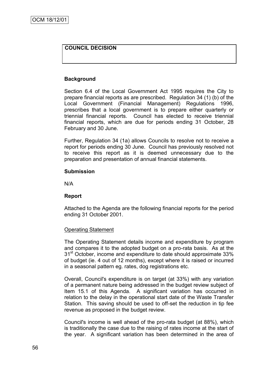# **COUNCIL DECISION**

# **Background**

Section 6.4 of the Local Government Act 1995 requires the City to prepare financial reports as are prescribed. Regulation 34 (1) (b) of the Local Government (Financial Management) Regulations 1996, prescribes that a local government is to prepare either quarterly or triennial financial reports. Council has elected to receive triennial financial reports, which are due for periods ending 31 October, 28 February and 30 June.

Further, Regulation 34 (1a) allows Councils to resolve not to receive a report for periods ending 30 June. Council has previously resolved not to receive this report as it is deemed unnecessary due to the preparation and presentation of annual financial statements.

#### **Submission**

N/A

#### **Report**

Attached to the Agenda are the following financial reports for the period ending 31 October 2001.

#### Operating Statement

The Operating Statement details income and expenditure by program and compares it to the adopted budget on a pro-rata basis. As at the  $31<sup>st</sup>$  October, income and expenditure to date should approximate 33% of budget (ie. 4 out of 12 months), except where it is raised or incurred in a seasonal pattern eg. rates, dog registrations etc.

Overall, Council's expenditure is on target (at 33%) with any variation of a permanent nature being addressed in the budget review subject of Item 15.1 of this Agenda. A significant variation has occurred in relation to the delay in the operational start date of the Waste Transfer Station. This saving should be used to off-set the reduction in tip fee revenue as proposed in the budget review.

Council's income is well ahead of the pro-rata budget (at 88%), which is traditionally the case due to the raising of rates income at the start of the year. A significant variation has been determined in the area of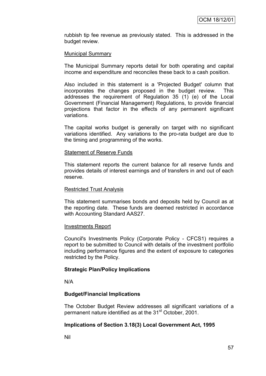rubbish tip fee revenue as previously stated. This is addressed in the budget review.

### Municipal Summary

The Municipal Summary reports detail for both operating and capital income and expenditure and reconciles these back to a cash position.

Also included in this statement is a 'Projected Budget' column that incorporates the changes proposed in the budget review. This addresses the requirement of Regulation 35 (1) (e) of the Local Government (Financial Management) Regulations, to provide financial projections that factor in the effects of any permanent significant variations.

The capital works budget is generally on target with no significant variations identified. Any variations to the pro-rata budget are due to the timing and programming of the works.

#### Statement of Reserve Funds

This statement reports the current balance for all reserve funds and provides details of interest earnings and of transfers in and out of each reserve.

#### Restricted Trust Analysis

This statement summarises bonds and deposits held by Council as at the reporting date. These funds are deemed restricted in accordance with Accounting Standard AAS27.

#### Investments Report

Council's Investments Policy (Corporate Policy - CFCS1) requires a report to be submitted to Council with details of the investment portfolio including performance figures and the extent of exposure to categories restricted by the Policy.

#### **Strategic Plan/Policy Implications**

N/A

#### **Budget/Financial Implications**

The October Budget Review addresses all significant variations of a permanent nature identified as at the 31<sup>st</sup> October, 2001.

#### **Implications of Section 3.18(3) Local Government Act, 1995**

Nil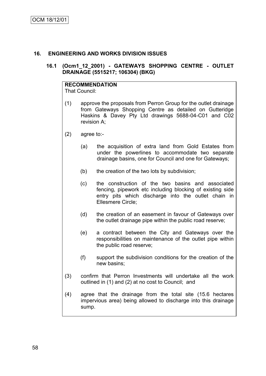# **16. ENGINEERING AND WORKS DIVISION ISSUES**

### **16.1 (Ocm1\_12\_2001) - GATEWAYS SHOPPING CENTRE - OUTLET DRAINAGE (5515217; 106304) (BKG)**

# **RECOMMENDATION**

That Council:

- (1) approve the proposals from Perron Group for the outlet drainage from Gateways Shopping Centre as detailed on Gutteridge Haskins & Davey Pty Ltd drawings 5688-04-C01 and C02 revision A;
- (2) agree to:-
	- (a) the acquisition of extra land from Gold Estates from under the powerlines to accommodate two separate drainage basins, one for Council and one for Gateways;
	- (b) the creation of the two lots by subdivision;
	- (c) the construction of the two basins and associated fencing, pipework etc including blocking of existing side entry pits which discharge into the outlet chain in Ellesmere Circle;
	- (d) the creation of an easement in favour of Gateways over the outlet drainage pipe within the public road reserve;
	- (e) a contract between the City and Gateways over the responsibilities on maintenance of the outlet pipe within the public road reserve;
	- (f) support the subdivision conditions for the creation of the new basins;
- (3) confirm that Perron Investments will undertake all the work outlined in (1) and (2) at no cost to Council; and
- (4) agree that the drainage from the total site (15.6 hectares impervious area) being allowed to discharge into this drainage sump.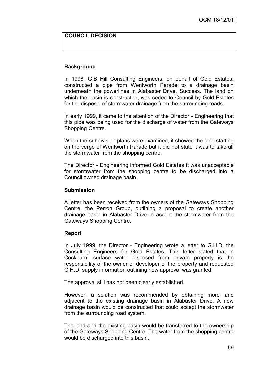### **COUNCIL DECISION**

### **Background**

In 1998, G.B Hill Consulting Engineers, on behalf of Gold Estates, constructed a pipe from Wentworth Parade to a drainage basin underneath the powerlines in Alabaster Drive, Success. The land on which the basin is constructed, was ceded to Council by Gold Estates for the disposal of stormwater drainage from the surrounding roads.

In early 1999, it came to the attention of the Director - Engineering that this pipe was being used for the discharge of water from the Gateways Shopping Centre.

When the subdivision plans were examined, it showed the pipe starting on the verge of Wentworth Parade but it did not state it was to take all the stormwater from the shopping centre.

The Director - Engineering informed Gold Estates it was unacceptable for stormwater from the shopping centre to be discharged into a Council owned drainage basin.

#### **Submission**

A letter has been received from the owners of the Gateways Shopping Centre, the Perron Group, outlining a proposal to create another drainage basin in Alabaster Drive to accept the stormwater from the Gateways Shopping Centre.

#### **Report**

In July 1999, the Director - Engineering wrote a letter to G.H.D. the Consulting Engineers for Gold Estates. This letter stated that in Cockburn, surface water disposed from private property is the responsibility of the owner or developer of the property and requested G.H.D. supply information outlining how approval was granted.

The approval still has not been clearly established.

However, a solution was recommended by obtaining more land adjacent to the existing drainage basin in Alabaster Drive. A new drainage basin would be constructed that could accept the stormwater from the surrounding road system.

The land and the existing basin would be transferred to the ownership of the Gateways Shopping Centre. The water from the shopping centre would be discharged into this basin.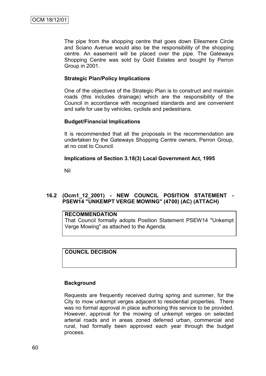The pipe from the shopping centre that goes down Ellesmere Circle and Sciano Avenue would also be the responsibility of the shopping centre. An easement will be placed over the pipe. The Gateways Shopping Centre was sold by Gold Estates and bought by Perron Group in 2001.

# **Strategic Plan/Policy Implications**

One of the objectives of the Strategic Plan is to construct and maintain roads (this includes drainage) which are the responsibility of the Council in accordance with recognised standards and are convenient and safe for use by vehicles, cyclists and pedestrians.

### **Budget/Financial Implications**

It is recommended that all the proposals in the recommendation are undertaken by the Gateways Shopping Centre owners, Perron Group, at no cost to Council.

### **Implications of Section 3.18(3) Local Government Act, 1995**

Nil

# **16.2 (Ocm1\_12\_2001) - NEW COUNCIL POSITION STATEMENT - PSEW14 "UNKEMPT VERGE MOWING" (4700) (AC) (ATTACH)**

#### **RECOMMENDATION**

That Council formally adopts Position Statement PSEW14 "Unkempt Verge Mowing" as attached to the Agenda.

# **COUNCIL DECISION**

# **Background**

Requests are frequently received during spring and summer, for the City to mow unkempt verges adjacent to residential properties. There was no formal approval in place authorising this service to be provided. However, approval for the mowing of unkempt verges on selected arterial roads and in areas zoned deferred urban, commercial and rural, had formally been approved each year through the budget process.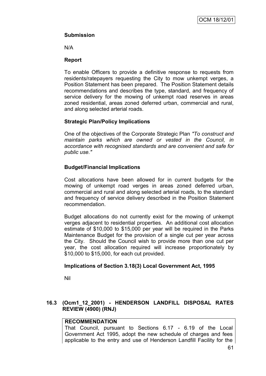# **Submission**

N/A

# **Report**

To enable Officers to provide a definitive response to requests from residents/ratepayers requesting the City to mow unkempt verges, a Position Statement has been prepared. The Position Statement details recommendations and describes the type, standard, and frequency of service delivery for the mowing of unkempt road reserves in areas zoned residential, areas zoned deferred urban, commercial and rural, and along selected arterial roads.

# **Strategic Plan/Policy Implications**

One of the objectives of the Corporate Strategic Plan *"To construct and maintain parks which are owned or vested in the Council, in accordance with recognised standards and are convenient and safe for public use."*

# **Budget/Financial Implications**

Cost allocations have been allowed for in current budgets for the mowing of unkempt road verges in areas zoned deferred urban, commercial and rural and along selected arterial roads, to the standard and frequency of service delivery described in the Position Statement recommendation.

Budget allocations do not currently exist for the mowing of unkempt verges adjacent to residential properties. An additional cost allocation estimate of \$10,000 to \$15,000 per year will be required in the Parks Maintenance Budget for the provision of a single cut per year across the City. Should the Council wish to provide more than one cut per year, the cost allocation required will increase proportionately by \$10,000 to \$15,000, for each cut provided.

# **Implications of Section 3.18(3) Local Government Act, 1995**

Nil

# **16.3 (Ocm1\_12\_2001) - HENDERSON LANDFILL DISPOSAL RATES REVIEW (4900) (RNJ)**

# **RECOMMENDATION**

That Council, pursuant to Sections 6.17 - 6.19 of the Local Government Act 1995, adopt the new schedule of charges and fees applicable to the entry and use of Henderson Landfill Facility for the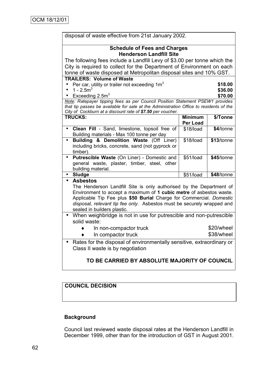| disposal of waste effective from 21st January 2002.                                                |                 |            |  |  |
|----------------------------------------------------------------------------------------------------|-----------------|------------|--|--|
| <b>Schedule of Fees and Charges</b>                                                                |                 |            |  |  |
| <b>Henderson Landfill Site</b>                                                                     |                 |            |  |  |
| The following fees include a Landfill Levy of \$3.00 per tonne which the                           |                 |            |  |  |
| City is required to collect for the Department of Environment on each                              |                 |            |  |  |
| tonne of waste disposed at Metropolitan disposal sites and 10% GST.                                |                 |            |  |  |
| <b>TRAILERS: Volume of Waste</b>                                                                   |                 |            |  |  |
| Per car, utility or trailer not exceeding $1m3$                                                    |                 | \$18.00    |  |  |
| 1 - $2.5m3$                                                                                        |                 | \$36.00    |  |  |
| Exceeding $2.5m3$<br>Note: Ratepayer tipping fees as per Council Position Statement PSEW1 provides |                 | \$70.00    |  |  |
| that tip passes be available for sale at the Administration Office to residents of the             |                 |            |  |  |
| City of Cockburn at a discount rate of \$7.50 per voucher.                                         |                 |            |  |  |
| <b>TRUCKS:</b>                                                                                     | <b>Minimum</b>  | \$/Tonne   |  |  |
|                                                                                                    | <b>Per Load</b> |            |  |  |
| Clean Fill - Sand, limestone, topsoil free of<br>۰                                                 | \$18/load       | \$4/tonne  |  |  |
| Building materials - Max 100 tonne per day                                                         |                 |            |  |  |
| Building & Demolition Waste (Off Liner)<br>۰                                                       | \$18/load       | \$13/tonne |  |  |
| including bricks, concrete, sand (not gyprock or                                                   |                 |            |  |  |
| timber).<br>Putrescible Waste (On Liner) - Domestic and<br>$\bullet$                               | \$51/load       | \$45/tonne |  |  |
| general waste, plaster, timber, steel, other                                                       |                 |            |  |  |
| building material.                                                                                 |                 |            |  |  |
| <b>Sludge</b><br>$\bullet$                                                                         | \$51/load       | \$48/tonne |  |  |
| <b>Asbestos</b><br>$\bullet$                                                                       |                 |            |  |  |
| The Henderson Landfill Site is only authorised by the Department of                                |                 |            |  |  |
| Environment to accept a maximum of 1 cubic metre of asbestos waste.                                |                 |            |  |  |
| Applicable Tip Fee plus \$50 Burial Charge for Commercial. Domestic                                |                 |            |  |  |
| disposal, relevant tip fee only. Asbestos must be securely wrapped and                             |                 |            |  |  |
| sealed in builders plastic.                                                                        |                 |            |  |  |
| When weighbridge is not in use for putrescible and non-putrescible<br>$\bullet$                    |                 |            |  |  |
| solid waste:                                                                                       |                 |            |  |  |
| In non-compactor truck                                                                             |                 | \$20/wheel |  |  |
| In compactor truck                                                                                 |                 | \$38/wheel |  |  |
| Rates for the disposal of environmentally sensitive, extraordinary or                              |                 |            |  |  |
| Class II waste is by negotiation                                                                   |                 |            |  |  |
|                                                                                                    |                 |            |  |  |
| TO BE CARRIED BY ABSOLUTE MAJORITY OF COUNCIL                                                      |                 |            |  |  |

# **COUNCIL DECISION**

# **Background**

Council last reviewed waste disposal rates at the Henderson Landfill in December 1999, other than for the introduction of GST in August 2001.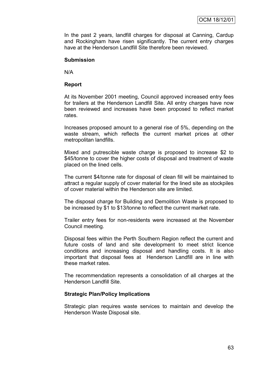In the past 2 years, landfill charges for disposal at Canning, Cardup and Rockingham have risen significantly. The current entry charges have at the Henderson Landfill Site therefore been reviewed.

#### **Submission**

N/A

#### **Report**

At its November 2001 meeting, Council approved increased entry fees for trailers at the Henderson Landfill Site. All entry charges have now been reviewed and increases have been proposed to reflect market rates.

Increases proposed amount to a general rise of 5%, depending on the waste stream, which reflects the current market prices at other metropolitan landfills.

Mixed and putrescible waste charge is proposed to increase \$2 to \$45/tonne to cover the higher costs of disposal and treatment of waste placed on the lined cells.

The current \$4/tonne rate for disposal of clean fill will be maintained to attract a regular supply of cover material for the lined site as stockpiles of cover material within the Henderson site are limited.

The disposal charge for Building and Demolition Waste is proposed to be increased by \$1 to \$13/tonne to reflect the current market rate.

Trailer entry fees for non-residents were increased at the November Council meeting.

Disposal fees within the Perth Southern Region reflect the current and future costs of land and site development to meet strict licence conditions and increasing disposal and handling costs. It is also important that disposal fees at Henderson Landfill are in line with these market rates.

The recommendation represents a consolidation of all charges at the Henderson Landfill Site.

#### **Strategic Plan/Policy Implications**

Strategic plan requires waste services to maintain and develop the Henderson Waste Disposal site.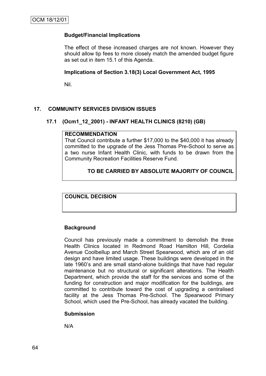# **Budget/Financial Implications**

The effect of these increased charges are not known. However they should allow tip fees to more closely match the amended budget figure as set out in item 15.1 of this Agenda.

# **Implications of Section 3.18(3) Local Government Act, 1995**

Nil.

# **17. COMMUNITY SERVICES DIVISION ISSUES**

# **17.1 (Ocm1\_12\_2001) - INFANT HEALTH CLINICS (8210) (GB)**

#### **RECOMMENDATION**

That Council contribute a further \$17,000 to the \$40,000 it has already committed to the upgrade of the Jess Thomas Pre-School to serve as a two nurse Infant Health Clinic, with funds to be drawn from the Community Recreation Facilities Reserve Fund.

# **TO BE CARRIED BY ABSOLUTE MAJORITY OF COUNCIL**

**COUNCIL DECISION**

# **Background**

Council has previously made a commitment to demolish the three Health Clinics located in Redmond Road Hamilton Hill, Cordelia Avenue Coolbellup and March Street Spearwood, which are of an old design and have limited usage. These buildings were developed in the late 1960"s and are small stand-alone buildings that have had regular maintenance but no structural or significant alterations. The Health Department, which provide the staff for the services and some of the funding for construction and major modification for the buildings, are committed to contribute toward the cost of upgrading a centralised facility at the Jess Thomas Pre-School. The Spearwood Primary School, which used the Pre-School, has already vacated the building.

#### **Submission**

N/A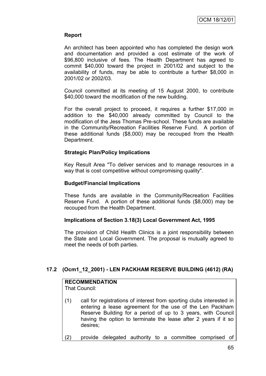# **Report**

An architect has been appointed who has completed the design work and documentation and provided a cost estimate of the work of \$96,800 inclusive of fees. The Health Department has agreed to commit \$40,000 toward the project in 2001/02 and subject to the availability of funds, may be able to contribute a further \$8,000 in 2001/02 or 2002/03.

Council committed at its meeting of 15 August 2000, to contribute \$40,000 toward the modification of the new building.

For the overall project to proceed, it requires a further \$17,000 in addition to the \$40,000 already committed by Council to the modification of the Jess Thomas Pre-school. These funds are available in the Community/Recreation Facilities Reserve Fund. A portion of these additional funds (\$8,000) may be recouped from the Health Department.

# **Strategic Plan/Policy Implications**

Key Result Area "To deliver services and to manage resources in a way that is cost competitive without compromising quality".

### **Budget/Financial Implications**

These funds are available in the Community/Recreation Facilities Reserve Fund. A portion of these additional funds (\$8,000) may be recouped from the Health Department.

# **Implications of Section 3.18(3) Local Government Act, 1995**

The provision of Child Health Clinics is a joint responsibility between the State and Local Government. The proposal is mutually agreed to meet the needs of both parties.

# **17.2 (Ocm1\_12\_2001) - LEN PACKHAM RESERVE BUILDING (4612) (RA)**

#### **RECOMMENDATION** That Council:

- 
- (1) call for registrations of interest from sporting clubs interested in entering a lease agreement for the use of the Len Packham Reserve Building for a period of up to 3 years, with Council having the option to terminate the lease after 2 years if it so desires;
- (2) provide delegated authority to a committee comprised of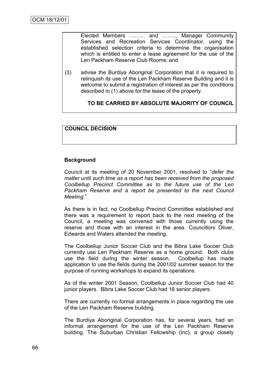Elected Members ……… and …….., Manager Community Services and Recreation Services Coordinator, using the established selection criteria to determine the organisation which is entitled to enter a lease agreement for the use of the Len Packham Reserve Club Rooms; and

(3) advise the Burdiya Aboriginal Corporation that it is required to relinquish its use of the Len Packham Reserve Building and it is welcome to submit a registration of interest as per the conditions described in (1) above for the lease of the property.

# **TO BE CARRIED BY ABSOLUTE MAJORITY OF COUNCIL**

### **COUNCIL DECISION**

### **Background**

Council at its meeting of 20 November 2001, resolved to "*defer the matter until such time as a report has been received from the proposed Coolbellup Precinct Committee as to the future use of the Len Packham Reserve and a report be presented to the next Council Meeting*."

As there is in fact, no Coolbellup Precinct Committee established and there was a requirement to report back to the next meeting of the Council, a meeting was convened with those currently using the reserve and those with an interest in the area. Councillors Oliver, Edwards and Waters attended the meeting.

The Coolbellup Junior Soccer Club and the Bibra Lake Soccer Club currently use Len Packham Reserve as a home ground. Both clubs use the field during the winter season. Coolbellup has made application to use the fields during the 2001/02 summer season for the purpose of running workshops to expand its operations.

As of the winter 2001 Season, Coolbellup Junior Soccer Club had 40 junior players. Bibra Lake Soccer Club had 16 senior players.

There are currently no formal arrangements in place regarding the use of the Len Packham Reserve building.

The Burdiya Aboriginal Corporation has, for several years, had an informal arrangement for the use of the Len Packham Reserve building. The Suburban Christian Fellowship (Inc), a group closely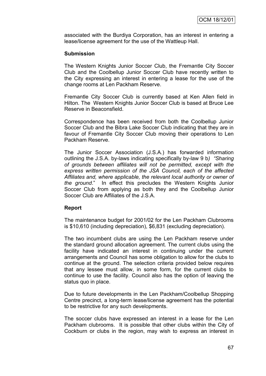associated with the Burdiya Corporation, has an interest in entering a lease/license agreement for the use of the Wattleup Hall.

#### **Submission**

The Western Knights Junior Soccer Club, the Fremantle City Soccer Club and the Coolbellup Junior Soccer Club have recently written to the City expressing an interest in entering a lease for the use of the change rooms at Len Packham Reserve.

Fremantle City Soccer Club is currently based at Ken Allen field in Hilton. The Western Knights Junior Soccer Club is based at Bruce Lee Reserve in Beaconsfield.

Correspondence has been received from both the Coolbellup Junior Soccer Club and the Bibra Lake Soccer Club indicating that they are in favour of Fremantle City Soccer Club moving their operations to Len Packham Reserve.

The Junior Soccer Association (J.S.A.) has forwarded information outlining the J.S.A. by-laws indicating specifically by-law 9 b*) "Sharing of grounds between affiliates will not be permitted, except with the express written permission of the JSA Council, each of the affected Affiliates and, where applicable, the relevant local authority or owner of the ground*." In effect this precludes the Western Knights Junior Soccer Club from applying as both they and the Coolbellup Junior Soccer Club are Affiliates of the J.S.A.

#### **Report**

The maintenance budget for 2001/02 for the Len Packham Clubrooms is \$10,610 (including depreciation), \$6,831 (excluding depreciation).

The two incumbent clubs are using the Len Packham reserve under the standard ground allocation agreement. The current clubs using the facility have indicated an interest in continuing under the current arrangements and Council has some obligation to allow for the clubs to continue at the ground. The selection criteria provided below requires that any lessee must allow, in some form, for the current clubs to continue to use the facility. Council also has the option of leaving the status quo in place.

Due to future developments in the Len Packham/Coolbellup Shopping Centre precinct, a long-term lease/license agreement has the potential to be restrictive for any such developments.

The soccer clubs have expressed an interest in a lease for the Len Packham clubrooms. It is possible that other clubs within the City of Cockburn or clubs in the region, may wish to express an interest in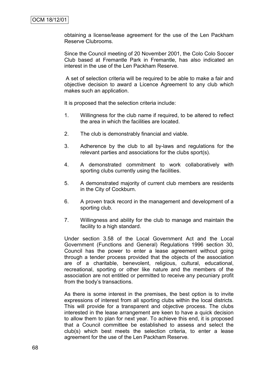obtaining a license/lease agreement for the use of the Len Packham Reserve Clubrooms.

Since the Council meeting of 20 November 2001, the Colo Colo Soccer Club based at Fremantle Park in Fremantle, has also indicated an interest in the use of the Len Packham Reserve.

A set of selection criteria will be required to be able to make a fair and objective decision to award a Licence Agreement to any club which makes such an application.

It is proposed that the selection criteria include:

- 1. Willingness for the club name if required, to be altered to reflect the area in which the facilities are located.
- 2. The club is demonstrably financial and viable.
- 3. Adherence by the club to all by-laws and regulations for the relevant parties and associations for the clubs sport(s).
- 4. A demonstrated commitment to work collaboratively with sporting clubs currently using the facilities.
- 5. A demonstrated majority of current club members are residents in the City of Cockburn.
- 6. A proven track record in the management and development of a sporting club.
- 7. Willingness and ability for the club to manage and maintain the facility to a high standard.

Under section 3.58 of the Local Government Act and the Local Government (Functions and General) Regulations 1996 section 30, Council has the power to enter a lease agreement without going through a tender process provided that the objects of the association are of a charitable, benevolent, religious, cultural, educational, recreational, sporting or other like nature and the members of the association are not entitled or permitted to receive any pecuniary profit from the body"s transactions.

As there is some interest in the premises, the best option is to invite expressions of interest from all sporting clubs within the local districts. This will provide for a transparent and objective process. The clubs interested in the lease arrangement are keen to have a quick decision to allow them to plan for next year. To achieve this end, it is proposed that a Council committee be established to assess and select the club(s) which best meets the selection criteria, to enter a lease agreement for the use of the Len Packham Reserve.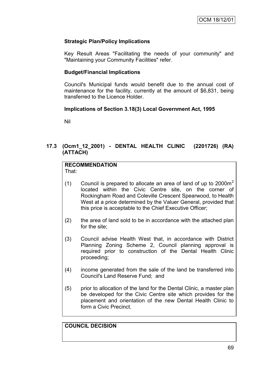## **Strategic Plan/Policy Implications**

Key Result Areas "Facilitating the needs of your community" and "Maintaining your Community Facilities" refer.

## **Budget/Financial Implications**

Council's Municipal funds would benefit due to the annual cost of maintenance for the facility, currently at the amount of \$6,831, being transferred to the Licence Holder.

## **Implications of Section 3.18(3) Local Government Act, 1995**

Nil

# **17.3 (Ocm1\_12\_2001) - DENTAL HEALTH CLINIC (2201726) (RA) (ATTACH)**

# **RECOMMENDATION**

That:

- (1) Council is prepared to allocate an area of land of up to  $2000m^2$ located within the Civic Centre site, on the corner of Rockingham Road and Coleville Crescent Spearwood, to Health West at a price determined by the Valuer General, provided that this price is acceptable to the Chief Executive Officer;
- (2) the area of land sold to be in accordance with the attached plan for the site;
- (3) Council advise Health West that, in accordance with District Planning Zoning Scheme 2, Council planning approval is required prior to construction of the Dental Health Clinic proceeding;
- (4) income generated from the sale of the land be transferred into Council's Land Reserve Fund; and
- (5) prior to allocation of the land for the Dental Clinic, a master plan be developed for the Civic Centre site which provides for the placement and orientation of the new Dental Health Clinic to form a Civic Precinct.

# **COUNCIL DECISION**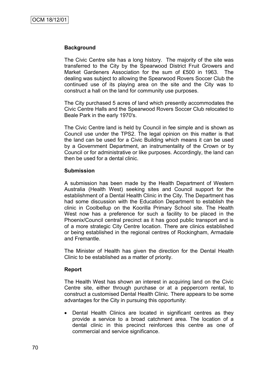## **Background**

The Civic Centre site has a long history. The majority of the site was transferred to the City by the Spearwood District Fruit Growers and Market Gardeners Association for the sum of ₤500 in 1963. The dealing was subject to allowing the Spearwood Rovers Soccer Club the continued use of its playing area on the site and the City was to construct a hall on the land for community use purposes.

The City purchased 5 acres of land which presently accommodates the Civic Centre Halls and the Spearwood Rovers Soccer Club relocated to Beale Park in the early 1970's.

The Civic Centre land is held by Council in fee simple and is shown as Council use under the TPS2. The legal opinion on this matter is that the land can be used for a Civic Building which means it can be used by a Government Department, an instrumentality of the Crown or by Council or for administrative or like purposes. Accordingly, the land can then be used for a dental clinic.

#### **Submission**

A submission has been made by the Health Department of Western Australia (Health West) seeking sites and Council support for the establishment of a Dental Health Clinic in the City. The Department has had some discussion with the Education Department to establish the clinic in Coolbellup on the Koorilla Primary School site. The Health West now has a preference for such a facility to be placed in the Phoenix/Council central precinct as it has good public transport and is of a more strategic City Centre location. There are clinics established or being established in the regional centres of Rockingham, Armadale and Fremantle.

The Minister of Health has given the direction for the Dental Health Clinic to be established as a matter of priority.

## **Report**

The Health West has shown an interest in acquiring land on the Civic Centre site, either through purchase or at a peppercorn rental, to construct a customised Dental Health Clinic. There appears to be some advantages for the City in pursuing this opportunity:

• Dental Health Clinics are located in significant centres as they provide a service to a broad catchment area. The location of a dental clinic in this precinct reinforces this centre as one of commercial and service significance.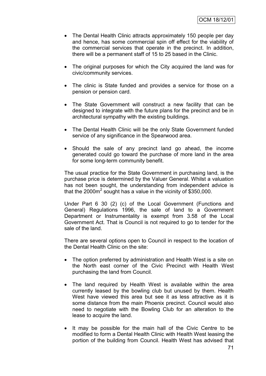- The Dental Health Clinic attracts approximately 150 people per day and hence, has some commercial spin off effect for the viability of the commercial services that operate in the precinct. In addition, there will be a permanent staff of 15 to 25 based in the Clinic.
- The original purposes for which the City acquired the land was for civic/community services.
- The clinic is State funded and provides a service for those on a pension or pension card.
- The State Government will construct a new facility that can be designed to integrate with the future plans for the precinct and be in architectural sympathy with the existing buildings.
- The Dental Health Clinic will be the only State Government funded service of any significance in the Spearwood area.
- Should the sale of any precinct land go ahead, the income generated could go toward the purchase of more land in the area for some long-term community benefit.

The usual practice for the State Government in purchasing land, is the purchase price is determined by the Valuer General. Whilst a valuation has not been sought, the understanding from independent advice is that the 2000 $m^2$  sought has a value in the vicinity of \$350,000.

Under Part 6 30 (2) (c) of the Local Government (Functions and General) Regulations 1996, the sale of land to a Government Department or Instrumentality is exempt from 3.58 of the Local Government Act. That is Council is not required to go to tender for the sale of the land.

There are several options open to Council in respect to the location of the Dental Health Clinic on the site:

- The option preferred by administration and Health West is a site on the North east corner of the Civic Precinct with Health West purchasing the land from Council.
- The land required by Health West is available within the area currently leased by the bowling club but unused by them. Health West have viewed this area but see it as less attractive as it is some distance from the main Phoenix precinct. Council would also need to negotiate with the Bowling Club for an alteration to the lease to acquire the land.
- It may be possible for the main hall of the Civic Centre to be modified to form a Dental Health Clinic with Health West leasing the portion of the building from Council. Health West has advised that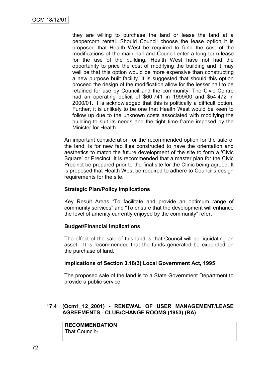they are willing to purchase the land or lease the land at a peppercorn rental. Should Council choose the lease option it is proposed that Health West be required to fund the cost of the modifications of the main hall and Council enter a long-term lease for the use of the building. Health West have not had the opportunity to price the cost of modifying the building and it may well be that this option would be more expensive than constructing a new purpose built facility. It is suggested that should this option proceed the design of the modification allow for the lesser hall to be retained for use by Council and the community. The Civic Centre had an operating deficit of \$60,741 in 1999/00 and \$54,472 in 2000/01. It is acknowledged that this is politically a difficult option. Further, it is unlikely to be one that Health West would be keen to follow up due to the unknown costs associated with modifying the building to suit its needs and the tight time frame imposed by the Minister for Health.

An important consideration for the recommended option for the sale of the land, is for new facilities constructed to have the orientation and aesthetics to match the future development of the site to form a "Civic Square" or Precinct. It is recommended that a master plan for the Civic Precinct be prepared prior to the final site for the Clinic being agreed. It is proposed that Health West be required to adhere to Council's design requirements for the site.

## **Strategic Plan/Policy Implications**

Key Result Areas "To facilitate and provide an optimum range of community services" and "To ensure that the development will enhance the level of amenity currently enjoyed by the community" refer.

## **Budget/Financial Implications**

The effect of the sale of this land is that Council will be liquidating an asset. It is recommended that the funds generated be expended on the purchase of land.

## **Implications of Section 3.18(3) Local Government Act, 1995**

The proposed sale of the land is to a State Government Department to provide a public service.

#### **17.4 (Ocm1\_12\_2001) - RENEWAL OF USER MANAGEMENT/LEASE AGREEMENTS - CLUB/CHANGE ROOMS (1953) (RA)**

**RECOMMENDATION** That Council:-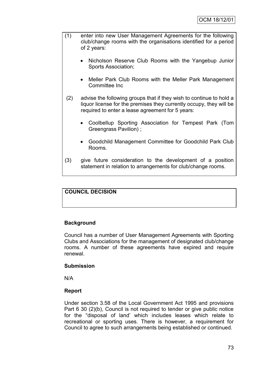- (1) enter into new User Management Agreements for the following club/change rooms with the organisations identified for a period of 2 years:
	- Nicholson Reserve Club Rooms with the Yangebup Junior Sports Association;
	- Meller Park Club Rooms with the Meller Park Management Committee Inc
- (2) advise the following groups that if they wish to continue to hold a liquor license for the premises they currently occupy, they will be required to enter a lease agreement for 5 years:
	- Coolbellup Sporting Association for Tempest Park (Tom Greengrass Pavilion) ;
	- Goodchild Management Committee for Goodchild Park Club Rooms.
- (3) give future consideration to the development of a position statement in relation to arrangements for club/change rooms.

# **COUNCIL DECISION**

## **Background**

Council has a number of User Management Agreements with Sporting Clubs and Associations for the management of designated club/change rooms. A number of these agreements have expired and require renewal.

## **Submission**

N/A

## **Report**

Under section 3.58 of the Local Government Act 1995 and provisions Part 6 30 (2)(b), Council is not required to tender or give public notice for the "disposal of land" which includes leases which relate to recreational or sporting uses. There is however, a requirement for Council to agree to such arrangements being established or continued.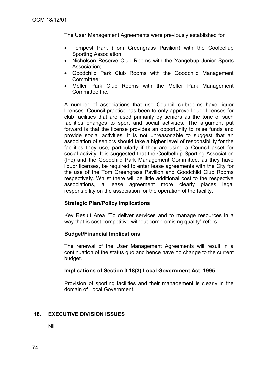The User Management Agreements were previously established for

- Tempest Park (Tom Greengrass Pavilion) with the Coolbellup Sporting Association;
- Nicholson Reserve Club Rooms with the Yangebup Junior Sports Association;
- Goodchild Park Club Rooms with the Goodchild Management Committee;
- Meller Park Club Rooms with the Meller Park Management Committee Inc.

A number of associations that use Council clubrooms have liquor licenses. Council practice has been to only approve liquor licenses for club facilities that are used primarily by seniors as the tone of such facilities changes to sport and social activities. The argument put forward is that the license provides an opportunity to raise funds and provide social activities. It is not unreasonable to suggest that an association of seniors should take a higher level of responsibility for the facilities they use, particularly if they are using a Council asset for social activity. It is suggested that the Coolbellup Sporting Association (Inc) and the Goodchild Park Management Committee, as they have liquor licenses, be required to enter lease agreements with the City for the use of the Tom Greengrass Pavilion and Goodchild Club Rooms respectively. Whilst there will be little additional cost to the respective associations, a lease agreement more clearly places legal responsibility on the association for the operation of the facility.

## **Strategic Plan/Policy Implications**

Key Result Area "To deliver services and to manage resources in a way that is cost competitive without compromising quality" refers.

## **Budget/Financial Implications**

The renewal of the User Management Agreements will result in a continuation of the status quo and hence have no change to the current budget.

## **Implications of Section 3.18(3) Local Government Act, 1995**

Provision of sporting facilities and their management is clearly in the domain of Local Government.

## **18. EXECUTIVE DIVISION ISSUES**

Nil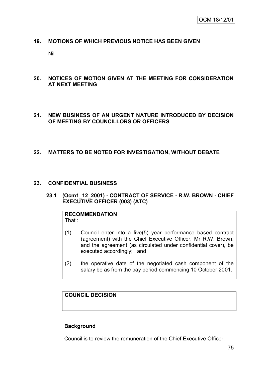## **19. MOTIONS OF WHICH PREVIOUS NOTICE HAS BEEN GIVEN**

Nil

- **20. NOTICES OF MOTION GIVEN AT THE MEETING FOR CONSIDERATION AT NEXT MEETING**
- **21. NEW BUSINESS OF AN URGENT NATURE INTRODUCED BY DECISION OF MEETING BY COUNCILLORS OR OFFICERS**

## **22. MATTERS TO BE NOTED FOR INVESTIGATION, WITHOUT DEBATE**

#### **23. CONFIDENTIAL BUSINESS**

**23.1 (Ocm1\_12\_2001) - CONTRACT OF SERVICE - R.W. BROWN - CHIEF EXECUTIVE OFFICER (003) (ATC)**

**RECOMMENDATION** That :

- (1) Council enter into a five(5) year performance based contract (agreement) with the Chief Executive Officer, Mr R.W. Brown, and the agreement (as circulated under confidential cover), be executed accordingly; and
- (2) the operative date of the negotiated cash component of the salary be as from the pay period commencing 10 October 2001.

# **COUNCIL DECISION**

## **Background**

Council is to review the remuneration of the Chief Executive Officer.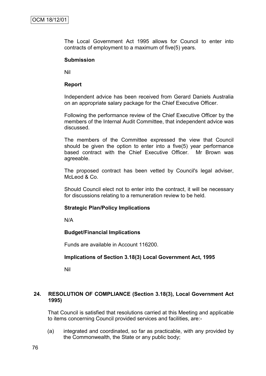The Local Government Act 1995 allows for Council to enter into contracts of employment to a maximum of five(5) years.

#### **Submission**

Nil

#### **Report**

Independent advice has been received from Gerard Daniels Australia on an appropriate salary package for the Chief Executive Officer.

Following the performance review of the Chief Executive Officer by the members of the Internal Audit Committee, that independent advice was discussed.

The members of the Committee expressed the view that Council should be given the option to enter into a five(5) year performance based contract with the Chief Executive Officer. Mr Brown was agreeable.

The proposed contract has been vetted by Council's legal adviser, McLeod & Co.

Should Council elect not to enter into the contract, it will be necessary for discussions relating to a remuneration review to be held.

#### **Strategic Plan/Policy Implications**

N/A

## **Budget/Financial Implications**

Funds are available in Account 116200.

## **Implications of Section 3.18(3) Local Government Act, 1995**

Nil

## **24. RESOLUTION OF COMPLIANCE (Section 3.18(3), Local Government Act 1995)**

That Council is satisfied that resolutions carried at this Meeting and applicable to items concerning Council provided services and facilities, are:-

(a) integrated and coordinated, so far as practicable, with any provided by the Commonwealth, the State or any public body;